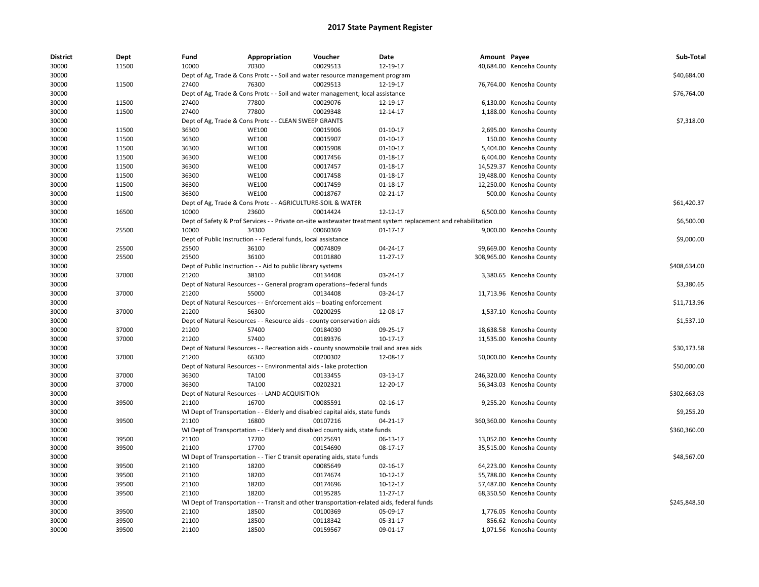| <b>District</b> | Dept  | Fund  | Appropriation                                                      | Voucher                                                                                    | Date                                                                                                          | Amount Payee |                           | Sub-Total    |
|-----------------|-------|-------|--------------------------------------------------------------------|--------------------------------------------------------------------------------------------|---------------------------------------------------------------------------------------------------------------|--------------|---------------------------|--------------|
| 30000           | 11500 | 10000 | 70300                                                              | 00029513                                                                                   | 12-19-17                                                                                                      |              | 40,684.00 Kenosha County  |              |
| 30000           |       |       |                                                                    | Dept of Ag, Trade & Cons Protc - - Soil and water resource management program              |                                                                                                               |              |                           | \$40,684.00  |
| 30000           | 11500 | 27400 | 76300                                                              | 00029513                                                                                   | 12-19-17                                                                                                      |              | 76,764.00 Kenosha County  |              |
| 30000           |       |       |                                                                    | Dept of Ag, Trade & Cons Protc - - Soil and water management; local assistance             |                                                                                                               |              |                           | \$76,764.00  |
| 30000           | 11500 | 27400 | 77800                                                              | 00029076                                                                                   | 12-19-17                                                                                                      |              | 6,130.00 Kenosha County   |              |
| 30000           | 11500 | 27400 | 77800                                                              | 00029348                                                                                   | 12-14-17                                                                                                      |              | 1,188.00 Kenosha County   |              |
| 30000           |       |       | Dept of Ag, Trade & Cons Protc - - CLEAN SWEEP GRANTS              |                                                                                            |                                                                                                               |              |                           | \$7,318.00   |
| 30000           | 11500 | 36300 | <b>WE100</b>                                                       | 00015906                                                                                   | 01-10-17                                                                                                      |              | 2,695.00 Kenosha County   |              |
| 30000           | 11500 | 36300 | <b>WE100</b>                                                       | 00015907                                                                                   | 01-10-17                                                                                                      |              | 150.00 Kenosha County     |              |
| 30000           | 11500 | 36300 | <b>WE100</b>                                                       | 00015908                                                                                   | $01 - 10 - 17$                                                                                                |              | 5,404.00 Kenosha County   |              |
| 30000           | 11500 | 36300 | <b>WE100</b>                                                       | 00017456                                                                                   | 01-18-17                                                                                                      |              | 6,404.00 Kenosha County   |              |
| 30000           | 11500 | 36300 | <b>WE100</b>                                                       | 00017457                                                                                   | 01-18-17                                                                                                      |              | 14,529.37 Kenosha County  |              |
| 30000           | 11500 | 36300 | <b>WE100</b>                                                       | 00017458                                                                                   | 01-18-17                                                                                                      |              | 19,488.00 Kenosha County  |              |
| 30000           | 11500 | 36300 | <b>WE100</b>                                                       | 00017459                                                                                   | $01 - 18 - 17$                                                                                                |              | 12,250.00 Kenosha County  |              |
| 30000           | 11500 | 36300 | <b>WE100</b>                                                       | 00018767                                                                                   | 02-21-17                                                                                                      |              | 500.00 Kenosha County     |              |
| 30000           |       |       | Dept of Ag, Trade & Cons Protc - - AGRICULTURE-SOIL & WATER        |                                                                                            |                                                                                                               |              |                           | \$61,420.37  |
| 30000           | 16500 | 10000 | 23600                                                              | 00014424                                                                                   | 12-12-17                                                                                                      |              | 6,500.00 Kenosha County   |              |
| 30000           |       |       |                                                                    |                                                                                            | Dept of Safety & Prof Services - - Private on-site wastewater treatment system replacement and rehabilitation |              |                           | \$6,500.00   |
| 30000           | 25500 | 10000 | 34300                                                              | 00060369                                                                                   | $01 - 17 - 17$                                                                                                |              | 9,000.00 Kenosha County   |              |
| 30000           |       |       | Dept of Public Instruction - - Federal funds, local assistance     |                                                                                            |                                                                                                               |              |                           | \$9,000.00   |
| 30000           | 25500 | 25500 | 36100                                                              | 00074809                                                                                   | 04-24-17                                                                                                      |              | 99,669.00 Kenosha County  |              |
| 30000           | 25500 | 25500 | 36100                                                              | 00101880                                                                                   | 11-27-17                                                                                                      |              | 308,965.00 Kenosha County |              |
| 30000           |       |       | Dept of Public Instruction - - Aid to public library systems       |                                                                                            |                                                                                                               |              |                           | \$408,634.00 |
| 30000           | 37000 | 21200 | 38100                                                              | 00134408                                                                                   | 03-24-17                                                                                                      |              | 3,380.65 Kenosha County   |              |
| 30000           |       |       |                                                                    | Dept of Natural Resources - - General program operations--federal funds                    |                                                                                                               |              |                           | \$3,380.65   |
| 30000           | 37000 | 21200 | 55000                                                              | 00134408                                                                                   | 03-24-17                                                                                                      |              | 11,713.96 Kenosha County  |              |
| 30000           |       |       |                                                                    | Dept of Natural Resources - - Enforcement aids -- boating enforcement                      |                                                                                                               |              |                           | \$11,713.96  |
| 30000           | 37000 | 21200 | 56300                                                              | 00200295                                                                                   | 12-08-17                                                                                                      |              | 1,537.10 Kenosha County   |              |
| 30000           |       |       |                                                                    | Dept of Natural Resources - - Resource aids - county conservation aids                     |                                                                                                               |              |                           | \$1,537.10   |
| 30000           | 37000 | 21200 | 57400                                                              | 00184030                                                                                   | 09-25-17                                                                                                      |              | 18,638.58 Kenosha County  |              |
| 30000           | 37000 | 21200 | 57400                                                              | 00189376                                                                                   | 10-17-17                                                                                                      |              | 11,535.00 Kenosha County  |              |
| 30000           |       |       |                                                                    | Dept of Natural Resources - - Recreation aids - county snowmobile trail and area aids      |                                                                                                               |              |                           | \$30,173.58  |
| 30000           | 37000 | 21200 | 66300                                                              | 00200302                                                                                   | 12-08-17                                                                                                      |              | 50,000.00 Kenosha County  |              |
| 30000           |       |       | Dept of Natural Resources - - Environmental aids - lake protection |                                                                                            |                                                                                                               |              |                           | \$50,000.00  |
| 30000           | 37000 | 36300 | TA100                                                              | 00133455                                                                                   | 03-13-17                                                                                                      |              | 246,320.00 Kenosha County |              |
| 30000           | 37000 | 36300 | TA100                                                              | 00202321                                                                                   | 12-20-17                                                                                                      |              | 56,343.03 Kenosha County  |              |
| 30000           |       |       | Dept of Natural Resources - - LAND ACQUISITION                     |                                                                                            |                                                                                                               |              |                           | \$302,663.03 |
| 30000           | 39500 | 21100 | 16700                                                              | 00085591                                                                                   | 02-16-17                                                                                                      |              | 9,255.20 Kenosha County   |              |
| 30000           |       |       |                                                                    | WI Dept of Transportation - - Elderly and disabled capital aids, state funds               |                                                                                                               |              |                           | \$9,255.20   |
| 30000           | 39500 | 21100 | 16800                                                              | 00107216                                                                                   | 04-21-17                                                                                                      |              | 360,360.00 Kenosha County |              |
| 30000           |       |       |                                                                    | WI Dept of Transportation - - Elderly and disabled county aids, state funds                |                                                                                                               |              |                           | \$360,360.00 |
| 30000           | 39500 | 21100 | 17700                                                              | 00125691                                                                                   | 06-13-17                                                                                                      |              | 13,052.00 Kenosha County  |              |
| 30000           | 39500 | 21100 | 17700                                                              | 00154690                                                                                   | 08-17-17                                                                                                      |              | 35,515.00 Kenosha County  |              |
| 30000           |       |       |                                                                    | WI Dept of Transportation - - Tier C transit operating aids, state funds                   |                                                                                                               |              |                           | \$48,567.00  |
| 30000           | 39500 | 21100 | 18200                                                              | 00085649                                                                                   | 02-16-17                                                                                                      |              | 64,223.00 Kenosha County  |              |
| 30000           | 39500 | 21100 | 18200                                                              | 00174674                                                                                   | 10-12-17                                                                                                      |              | 55,788.00 Kenosha County  |              |
| 30000           | 39500 | 21100 | 18200                                                              | 00174696                                                                                   | 10-12-17                                                                                                      |              | 57,487.00 Kenosha County  |              |
| 30000           | 39500 | 21100 | 18200                                                              | 00195285                                                                                   | 11-27-17                                                                                                      |              | 68,350.50 Kenosha County  |              |
| 30000           |       |       |                                                                    | WI Dept of Transportation - - Transit and other transportation-related aids, federal funds |                                                                                                               |              |                           | \$245,848.50 |
| 30000           | 39500 | 21100 | 18500                                                              | 00100369                                                                                   | 05-09-17                                                                                                      |              | 1,776.05 Kenosha County   |              |
| 30000           | 39500 | 21100 | 18500                                                              | 00118342                                                                                   | 05-31-17                                                                                                      |              | 856.62 Kenosha County     |              |
| 30000           | 39500 | 21100 | 18500                                                              | 00159567                                                                                   | 09-01-17                                                                                                      |              | 1,071.56 Kenosha County   |              |
|                 |       |       |                                                                    |                                                                                            |                                                                                                               |              |                           |              |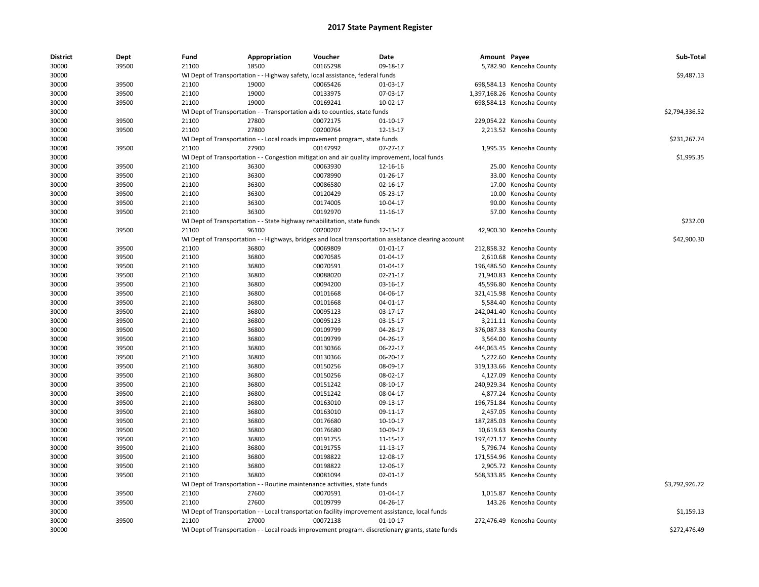| <b>District</b> | Dept  | Fund  | Appropriation                                                                                        | Voucher  | Date           | Amount Payee |                             | Sub-Total      |
|-----------------|-------|-------|------------------------------------------------------------------------------------------------------|----------|----------------|--------------|-----------------------------|----------------|
| 30000           | 39500 | 21100 | 18500                                                                                                | 00165298 | 09-18-17       |              | 5,782.90 Kenosha County     |                |
| 30000           |       |       | WI Dept of Transportation - - Highway safety, local assistance, federal funds                        |          |                |              |                             | \$9,487.13     |
| 30000           | 39500 | 21100 | 19000                                                                                                | 00065426 | 01-03-17       |              | 698,584.13 Kenosha County   |                |
| 30000           | 39500 | 21100 | 19000                                                                                                | 00133975 | 07-03-17       |              | 1,397,168.26 Kenosha County |                |
| 30000           | 39500 | 21100 | 19000                                                                                                | 00169241 | 10-02-17       |              | 698,584.13 Kenosha County   |                |
| 30000           |       |       | WI Dept of Transportation - - Transportation aids to counties, state funds                           |          |                |              |                             | \$2,794,336.52 |
| 30000           | 39500 | 21100 | 27800                                                                                                | 00072175 | $01-10-17$     |              | 229,054.22 Kenosha County   |                |
| 30000           | 39500 | 21100 | 27800                                                                                                | 00200764 | 12-13-17       |              | 2,213.52 Kenosha County     |                |
| 30000           |       |       | WI Dept of Transportation - - Local roads improvement program, state funds                           |          |                |              |                             | \$231,267.74   |
| 30000           | 39500 | 21100 | 27900                                                                                                | 00147992 | 07-27-17       |              | 1,995.35 Kenosha County     |                |
| 30000           |       |       | WI Dept of Transportation - - Congestion mitigation and air quality improvement, local funds         |          |                |              |                             | \$1,995.35     |
| 30000           | 39500 | 21100 | 36300                                                                                                | 00063930 | 12-16-16       |              | 25.00 Kenosha County        |                |
| 30000           | 39500 | 21100 | 36300                                                                                                | 00078990 | 01-26-17       |              | 33.00 Kenosha County        |                |
| 30000           | 39500 | 21100 | 36300                                                                                                | 00086580 | 02-16-17       |              | 17.00 Kenosha County        |                |
| 30000           | 39500 | 21100 | 36300                                                                                                | 00120429 | 05-23-17       |              | 10.00 Kenosha County        |                |
| 30000           | 39500 | 21100 | 36300                                                                                                | 00174005 | 10-04-17       |              | 90.00 Kenosha County        |                |
| 30000           | 39500 | 21100 | 36300                                                                                                | 00192970 | 11-16-17       |              | 57.00 Kenosha County        |                |
| 30000           |       |       | WI Dept of Transportation - - State highway rehabilitation, state funds                              |          |                |              |                             | \$232.00       |
| 30000           | 39500 | 21100 | 96100                                                                                                | 00200207 | 12-13-17       |              | 42,900.30 Kenosha County    |                |
| 30000           |       |       | WI Dept of Transportation - - Highways, bridges and local transportation assistance clearing account |          |                |              |                             | \$42,900.30    |
| 30000           | 39500 | 21100 | 36800                                                                                                | 00069809 | 01-01-17       |              | 212,858.32 Kenosha County   |                |
| 30000           | 39500 | 21100 | 36800                                                                                                | 00070585 | 01-04-17       |              | 2,610.68 Kenosha County     |                |
| 30000           | 39500 | 21100 | 36800                                                                                                | 00070591 | 01-04-17       |              | 196,486.50 Kenosha County   |                |
| 30000           | 39500 | 21100 | 36800                                                                                                | 00088020 | 02-21-17       |              | 21,940.83 Kenosha County    |                |
| 30000           | 39500 | 21100 | 36800                                                                                                | 00094200 | 03-16-17       |              | 45,596.80 Kenosha County    |                |
| 30000           | 39500 | 21100 | 36800                                                                                                | 00101668 | 04-06-17       |              | 321,415.98 Kenosha County   |                |
| 30000           | 39500 | 21100 | 36800                                                                                                | 00101668 | 04-01-17       |              | 5,584.40 Kenosha County     |                |
| 30000           | 39500 | 21100 | 36800                                                                                                | 00095123 | 03-17-17       |              | 242,041.40 Kenosha County   |                |
| 30000           | 39500 | 21100 | 36800                                                                                                | 00095123 | 03-15-17       |              | 3,211.11 Kenosha County     |                |
| 30000           | 39500 | 21100 | 36800                                                                                                | 00109799 | 04-28-17       |              | 376,087.33 Kenosha County   |                |
| 30000           | 39500 | 21100 | 36800                                                                                                | 00109799 | 04-26-17       |              | 3,564.00 Kenosha County     |                |
| 30000           | 39500 | 21100 | 36800                                                                                                | 00130366 | 06-22-17       |              | 444,063.45 Kenosha County   |                |
| 30000           | 39500 | 21100 | 36800                                                                                                | 00130366 | 06-20-17       |              | 5,222.60 Kenosha County     |                |
| 30000           | 39500 | 21100 | 36800                                                                                                | 00150256 | 08-09-17       |              | 319,133.66 Kenosha County   |                |
| 30000           | 39500 | 21100 | 36800                                                                                                | 00150256 | 08-02-17       |              | 4,127.09 Kenosha County     |                |
| 30000           | 39500 | 21100 | 36800                                                                                                | 00151242 | 08-10-17       |              | 240,929.34 Kenosha County   |                |
| 30000           | 39500 | 21100 | 36800                                                                                                | 00151242 | 08-04-17       |              | 4,877.24 Kenosha County     |                |
| 30000           | 39500 | 21100 | 36800                                                                                                | 00163010 | 09-13-17       |              | 196,751.84 Kenosha County   |                |
| 30000           | 39500 | 21100 | 36800                                                                                                | 00163010 | 09-11-17       |              | 2,457.05 Kenosha County     |                |
| 30000           | 39500 | 21100 | 36800                                                                                                | 00176680 | $10-10-17$     |              | 187,285.03 Kenosha County   |                |
| 30000           | 39500 | 21100 | 36800                                                                                                | 00176680 | 10-09-17       |              | 10,619.63 Kenosha County    |                |
| 30000           | 39500 | 21100 | 36800                                                                                                | 00191755 | 11-15-17       |              | 197,471.17 Kenosha County   |                |
| 30000           | 39500 | 21100 | 36800                                                                                                | 00191755 | 11-13-17       |              | 5,796.74 Kenosha County     |                |
| 30000           | 39500 | 21100 | 36800                                                                                                | 00198822 | 12-08-17       |              | 171,554.96 Kenosha County   |                |
| 30000           | 39500 | 21100 | 36800                                                                                                | 00198822 | 12-06-17       |              | 2,905.72 Kenosha County     |                |
| 30000           | 39500 | 21100 | 36800                                                                                                | 00081094 | 02-01-17       |              | 568,333.85 Kenosha County   |                |
| 30000           |       |       | WI Dept of Transportation - - Routine maintenance activities, state funds                            |          |                |              |                             | \$3,792,926.72 |
| 30000           | 39500 | 21100 | 27600                                                                                                | 00070591 | 01-04-17       |              | 1,015.87 Kenosha County     |                |
| 30000           | 39500 | 21100 | 27600                                                                                                | 00109799 | 04-26-17       |              | 143.26 Kenosha County       |                |
| 30000           |       |       | WI Dept of Transportation - - Local transportation facility improvement assistance, local funds      |          |                |              |                             | \$1,159.13     |
| 30000           | 39500 | 21100 | 27000                                                                                                | 00072138 | $01 - 10 - 17$ |              | 272,476.49 Kenosha County   |                |
| 30000           |       |       | WI Dept of Transportation - - Local roads improvement program. discretionary grants, state funds     |          |                |              |                             | \$272,476.49   |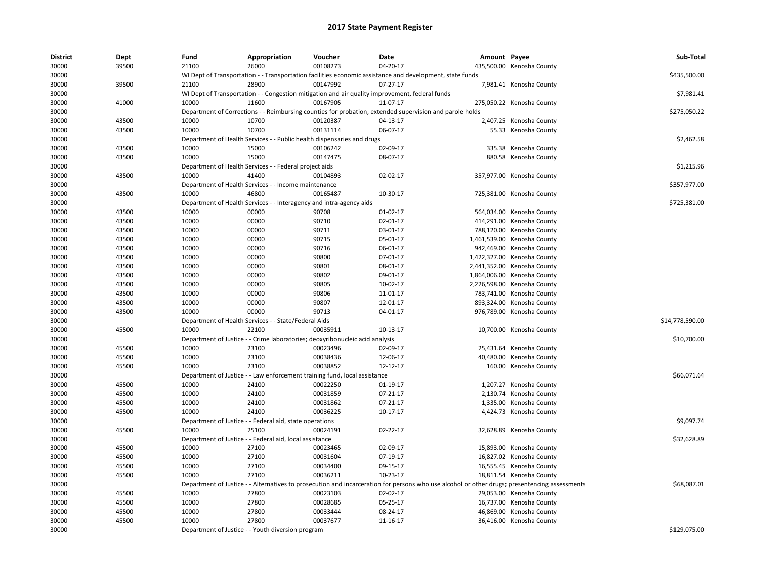| <b>District</b> | Dept  | Fund  | Appropriation                                                       | Voucher                                                                      | Date                                                                                                                                          | Amount Payee |                             | Sub-Total       |
|-----------------|-------|-------|---------------------------------------------------------------------|------------------------------------------------------------------------------|-----------------------------------------------------------------------------------------------------------------------------------------------|--------------|-----------------------------|-----------------|
| 30000           | 39500 | 21100 | 26000                                                               | 00108273                                                                     | 04-20-17                                                                                                                                      |              | 435,500.00 Kenosha County   |                 |
| 30000           |       |       |                                                                     |                                                                              | WI Dept of Transportation - - Transportation facilities economic assistance and development, state funds                                      |              |                             | \$435,500.00    |
| 30000           | 39500 | 21100 | 28900                                                               | 00147992                                                                     | $07-27-17$                                                                                                                                    |              | 7,981.41 Kenosha County     |                 |
| 30000           |       |       |                                                                     |                                                                              | WI Dept of Transportation - - Congestion mitigation and air quality improvement, federal funds                                                |              |                             | \$7,981.41      |
| 30000           | 41000 | 10000 | 11600                                                               | 00167905                                                                     | 11-07-17                                                                                                                                      |              | 275,050.22 Kenosha County   |                 |
| 30000           |       |       |                                                                     |                                                                              | Department of Corrections - - Reimbursing counties for probation, extended supervision and parole holds                                       |              |                             | \$275,050.22    |
| 30000           | 43500 | 10000 | 10700                                                               | 00120387                                                                     | 04-13-17                                                                                                                                      |              | 2,407.25 Kenosha County     |                 |
| 30000           | 43500 | 10000 | 10700                                                               | 00131114                                                                     | 06-07-17                                                                                                                                      |              | 55.33 Kenosha County        |                 |
| 30000           |       |       |                                                                     | Department of Health Services - - Public health dispensaries and drugs       |                                                                                                                                               |              |                             | \$2,462.58      |
| 30000           | 43500 | 10000 | 15000                                                               | 00106242                                                                     | 02-09-17                                                                                                                                      |              | 335.38 Kenosha County       |                 |
| 30000           | 43500 | 10000 | 15000                                                               | 00147475                                                                     | 08-07-17                                                                                                                                      |              | 880.58 Kenosha County       |                 |
| 30000           |       |       | Department of Health Services - - Federal project aids              |                                                                              |                                                                                                                                               |              |                             | \$1,215.96      |
| 30000           | 43500 | 10000 | 41400                                                               | 00104893                                                                     | 02-02-17                                                                                                                                      |              | 357,977.00 Kenosha County   |                 |
| 30000           |       |       | Department of Health Services - - Income maintenance                |                                                                              |                                                                                                                                               |              |                             | \$357,977.00    |
| 30000           | 43500 | 10000 | 46800                                                               | 00165487                                                                     | 10-30-17                                                                                                                                      |              | 725,381.00 Kenosha County   |                 |
| 30000           |       |       | Department of Health Services - - Interagency and intra-agency aids |                                                                              |                                                                                                                                               |              |                             | \$725,381.00    |
| 30000           | 43500 | 10000 | 00000                                                               | 90708                                                                        | 01-02-17                                                                                                                                      |              | 564,034.00 Kenosha County   |                 |
| 30000           | 43500 | 10000 | 00000                                                               | 90710                                                                        | 02-01-17                                                                                                                                      |              | 414,291.00 Kenosha County   |                 |
| 30000           | 43500 | 10000 | 00000                                                               | 90711                                                                        | 03-01-17                                                                                                                                      |              | 788,120.00 Kenosha County   |                 |
| 30000           | 43500 | 10000 | 00000                                                               | 90715                                                                        | 05-01-17                                                                                                                                      |              | 1,461,539.00 Kenosha County |                 |
| 30000           | 43500 | 10000 | 00000                                                               | 90716                                                                        | 06-01-17                                                                                                                                      |              | 942,469.00 Kenosha County   |                 |
| 30000           | 43500 | 10000 | 00000                                                               | 90800                                                                        | 07-01-17                                                                                                                                      |              | 1,422,327.00 Kenosha County |                 |
| 30000           | 43500 | 10000 | 00000                                                               | 90801                                                                        | 08-01-17                                                                                                                                      |              | 2,441,352.00 Kenosha County |                 |
| 30000           | 43500 | 10000 | 00000                                                               | 90802                                                                        | 09-01-17                                                                                                                                      |              | 1,864,006.00 Kenosha County |                 |
| 30000           | 43500 | 10000 | 00000                                                               | 90805                                                                        | 10-02-17                                                                                                                                      |              | 2,226,598.00 Kenosha County |                 |
| 30000           | 43500 | 10000 | 00000                                                               | 90806                                                                        | 11-01-17                                                                                                                                      |              | 783,741.00 Kenosha County   |                 |
| 30000           | 43500 | 10000 | 00000                                                               | 90807                                                                        | 12-01-17                                                                                                                                      |              | 893,324.00 Kenosha County   |                 |
| 30000           | 43500 | 10000 | 00000                                                               | 90713                                                                        | 04-01-17                                                                                                                                      |              | 976,789.00 Kenosha County   |                 |
| 30000           |       |       | Department of Health Services - - State/Federal Aids                |                                                                              |                                                                                                                                               |              |                             | \$14,778,590.00 |
| 30000           | 45500 | 10000 | 22100                                                               | 00035911                                                                     | 10-13-17                                                                                                                                      |              | 10,700.00 Kenosha County    |                 |
| 30000           |       |       |                                                                     | Department of Justice - - Crime laboratories; deoxyribonucleic acid analysis |                                                                                                                                               |              |                             | \$10,700.00     |
| 30000           | 45500 | 10000 | 23100                                                               | 00023496                                                                     | 02-09-17                                                                                                                                      |              | 25,431.64 Kenosha County    |                 |
| 30000           | 45500 | 10000 | 23100                                                               | 00038436                                                                     | 12-06-17                                                                                                                                      |              | 40,480.00 Kenosha County    |                 |
| 30000           | 45500 | 10000 | 23100                                                               | 00038852                                                                     | 12-12-17                                                                                                                                      |              | 160.00 Kenosha County       |                 |
| 30000           |       |       |                                                                     | Department of Justice - - Law enforcement training fund, local assistance    |                                                                                                                                               |              |                             | \$66,071.64     |
| 30000           | 45500 | 10000 | 24100                                                               | 00022250                                                                     | 01-19-17                                                                                                                                      |              | 1,207.27 Kenosha County     |                 |
| 30000           | 45500 | 10000 | 24100                                                               | 00031859                                                                     | 07-21-17                                                                                                                                      |              | 2,130.74 Kenosha County     |                 |
| 30000           | 45500 | 10000 | 24100                                                               | 00031862                                                                     | 07-21-17                                                                                                                                      |              | 1,335.00 Kenosha County     |                 |
| 30000           | 45500 | 10000 | 24100                                                               | 00036225                                                                     | 10-17-17                                                                                                                                      |              | 4,424.73 Kenosha County     |                 |
| 30000           |       |       | Department of Justice - - Federal aid, state operations             |                                                                              |                                                                                                                                               |              |                             | \$9,097.74      |
| 30000           | 45500 | 10000 | 25100                                                               | 00024191                                                                     | $02 - 22 - 17$                                                                                                                                |              | 32,628.89 Kenosha County    |                 |
| 30000           |       |       | Department of Justice - - Federal aid, local assistance             |                                                                              |                                                                                                                                               |              |                             | \$32,628.89     |
| 30000           | 45500 | 10000 | 27100                                                               | 00023465                                                                     | 02-09-17                                                                                                                                      |              | 15,893.00 Kenosha County    |                 |
| 30000           | 45500 | 10000 | 27100                                                               | 00031604                                                                     | 07-19-17                                                                                                                                      |              | 16,827.02 Kenosha County    |                 |
| 30000           | 45500 | 10000 | 27100                                                               | 00034400                                                                     | 09-15-17                                                                                                                                      |              | 16,555.45 Kenosha County    |                 |
| 30000           | 45500 | 10000 | 27100                                                               | 00036211                                                                     | 10-23-17                                                                                                                                      |              | 18,811.54 Kenosha County    |                 |
| 30000           |       |       |                                                                     |                                                                              |                                                                                                                                               |              |                             | \$68.087.01     |
|                 |       |       |                                                                     |                                                                              | Department of Justice - - Alternatives to prosecution and incarceration for persons who use alcohol or other drugs; presentencing assessments |              |                             |                 |
| 30000           | 45500 | 10000 | 27800                                                               | 00023103                                                                     | 02-02-17                                                                                                                                      |              | 29,053.00 Kenosha County    |                 |
| 30000           | 45500 | 10000 | 27800                                                               | 00028685                                                                     | 05-25-17                                                                                                                                      |              | 16,737.00 Kenosha County    |                 |
| 30000           | 45500 | 10000 | 27800                                                               | 00033444                                                                     | 08-24-17                                                                                                                                      |              | 46,869.00 Kenosha County    |                 |
| 30000           | 45500 | 10000 | 27800                                                               | 00037677                                                                     | 11-16-17                                                                                                                                      |              | 36,416.00 Kenosha County    |                 |
| 30000           |       |       | Department of Justice - - Youth diversion program                   |                                                                              |                                                                                                                                               |              |                             | \$129,075.00    |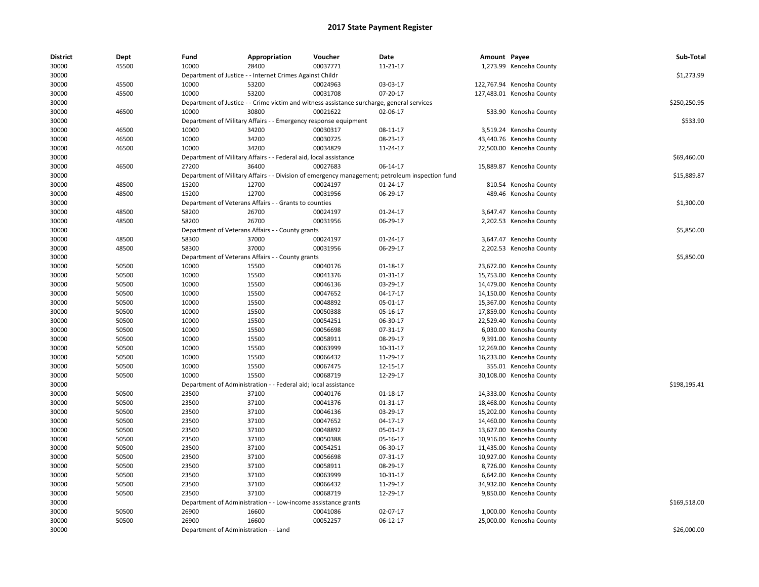| 30000<br>10000<br>28400<br>00037771<br>1,273.99 Kenosha County<br>45500<br>11-21-17<br>30000<br>Department of Justice - - Internet Crimes Against Childr<br>\$1,273.99<br>30000<br>45500<br>10000<br>53200<br>00024963<br>03-03-17<br>122,767.94 Kenosha County<br>10000<br>53200<br>00031708<br>07-20-17<br>30000<br>45500<br>127,483.01 Kenosha County<br>\$250,250.95<br>30000<br>Department of Justice - - Crime victim and witness assistance surcharge, general services<br>30800<br>00021622<br>30000<br>46500<br>10000<br>02-06-17<br>533.90 Kenosha County<br>\$533.90<br>30000<br>Department of Military Affairs - - Emergency response equipment<br>30000<br>46500<br>10000<br>00030317<br>08-11-17<br>34200<br>3,519.24 Kenosha County<br>10000<br>34200<br>00030725<br>30000<br>46500<br>08-23-17<br>43,440.76 Kenosha County<br>00034829<br>30000<br>10000<br>34200<br>11-24-17<br>22,500.00 Kenosha County<br>46500<br>Department of Military Affairs - - Federal aid, local assistance<br>\$69,460.00<br>30000<br>36400<br>00027683<br>30000<br>46500<br>27200<br>06-14-17<br>15,889.87 Kenosha County<br>30000<br>Department of Military Affairs - - Division of emergency management; petroleum inspection fund<br>\$15,889.87<br>15200<br>12700<br>00024197<br>01-24-17<br>30000<br>48500<br>810.54 Kenosha County<br>15200<br>12700<br>00031956<br>06-29-17<br>30000<br>48500<br>489.46 Kenosha County<br>30000<br>Department of Veterans Affairs - - Grants to counties<br>\$1,300.00<br>30000<br>48500<br>58200<br>26700<br>00024197<br>$01 - 24 - 17$<br>3,647.47 Kenosha County<br>58200<br>26700<br>30000<br>48500<br>00031956<br>06-29-17<br>2,202.53 Kenosha County<br>Department of Veterans Affairs - - County grants<br>\$5,850.00<br>30000<br>30000<br>48500<br>58300<br>37000<br>00024197<br>01-24-17<br>3,647.47 Kenosha County<br>58300<br>37000<br>00031956<br>06-29-17<br>30000<br>48500<br>2,202.53 Kenosha County<br>30000<br>Department of Veterans Affairs - - County grants<br>\$5,850.00<br>30000<br>50500<br>10000<br>15500<br>00040176<br>01-18-17<br>23,672.00 Kenosha County<br>10000<br>15500<br>00041376<br>$01 - 31 - 17$<br>15,753.00 Kenosha County<br>30000<br>50500<br>30000<br>50500<br>10000<br>15500<br>00046136<br>03-29-17<br>14,479.00 Kenosha County<br>30000<br>50500<br>10000<br>15500<br>00047652<br>04-17-17<br>14,150.00 Kenosha County<br>30000<br>50500<br>10000<br>15500<br>00048892<br>05-01-17<br>15,367.00 Kenosha County<br>10000<br>15500<br>00050388<br>30000<br>50500<br>05-16-17<br>17,859.00 Kenosha County<br>30000<br>50500<br>10000<br>15500<br>00054251<br>06-30-17<br>22,529.40 Kenosha County<br>30000<br>50500<br>10000<br>15500<br>00056698<br>07-31-17<br>6,030.00 Kenosha County<br>10000<br>15500<br>00058911<br>08-29-17<br>30000<br>50500<br>9,391.00 Kenosha County<br>10000<br>00063999<br>30000<br>50500<br>15500<br>10-31-17<br>12,269.00 Kenosha County<br>30000<br>10000<br>15500<br>00066432<br>11-29-17<br>16,233.00 Kenosha County<br>50500<br>10000<br>00067475<br>30000<br>50500<br>15500<br>12-15-17<br>355.01 Kenosha County<br>10000<br>15500<br>00068719<br>30000<br>50500<br>12-29-17<br>30,108.00 Kenosha County<br>\$198,195.41<br>30000<br>Department of Administration -<br>- Federal aid; local assistance<br>30000<br>50500<br>23500<br>37100<br>00040176<br>01-18-17<br>14,333.00 Kenosha County<br>23500<br>37100<br>00041376<br>01-31-17<br>30000<br>50500<br>18,468.00 Kenosha County<br>30000<br>50500<br>23500<br>37100<br>00046136<br>03-29-17<br>15,202.00 Kenosha County<br>30000<br>50500<br>23500<br>37100<br>00047652<br>04-17-17<br>14,460.00 Kenosha County<br>30000<br>23500<br>37100<br>00048892<br>05-01-17<br>13,627.00 Kenosha County<br>50500<br>30000<br>50500<br>23500<br>37100<br>00050388<br>05-16-17<br>10,916.00 Kenosha County<br>30000<br>50500<br>23500<br>37100<br>00054251<br>06-30-17<br>11,435.00 Kenosha County<br>23500<br>37100<br>00056698<br>10,927.00 Kenosha County<br>30000<br>50500<br>07-31-17<br>50500<br>23500<br>00058911<br>30000<br>37100<br>08-29-17<br>8,726.00 Kenosha County | <b>District</b> | Dept | Fund | Appropriation | Voucher | Date | Amount Payee | Sub-Total |
|--------------------------------------------------------------------------------------------------------------------------------------------------------------------------------------------------------------------------------------------------------------------------------------------------------------------------------------------------------------------------------------------------------------------------------------------------------------------------------------------------------------------------------------------------------------------------------------------------------------------------------------------------------------------------------------------------------------------------------------------------------------------------------------------------------------------------------------------------------------------------------------------------------------------------------------------------------------------------------------------------------------------------------------------------------------------------------------------------------------------------------------------------------------------------------------------------------------------------------------------------------------------------------------------------------------------------------------------------------------------------------------------------------------------------------------------------------------------------------------------------------------------------------------------------------------------------------------------------------------------------------------------------------------------------------------------------------------------------------------------------------------------------------------------------------------------------------------------------------------------------------------------------------------------------------------------------------------------------------------------------------------------------------------------------------------------------------------------------------------------------------------------------------------------------------------------------------------------------------------------------------------------------------------------------------------------------------------------------------------------------------------------------------------------------------------------------------------------------------------------------------------------------------------------------------------------------------------------------------------------------------------------------------------------------------------------------------------------------------------------------------------------------------------------------------------------------------------------------------------------------------------------------------------------------------------------------------------------------------------------------------------------------------------------------------------------------------------------------------------------------------------------------------------------------------------------------------------------------------------------------------------------------------------------------------------------------------------------------------------------------------------------------------------------------------------------------------------------------------------------------------------------------------------------------------------------------------------------------------------------------------------------------------------------------------------------------------------------------------------------------------------------------------------------------------------------------------------------------------------------------------------------------------------------------------------------------------------------------------------------------------------------------------------------------------------------------------------------------------------------------------------------------|-----------------|------|------|---------------|---------|------|--------------|-----------|
|                                                                                                                                                                                                                                                                                                                                                                                                                                                                                                                                                                                                                                                                                                                                                                                                                                                                                                                                                                                                                                                                                                                                                                                                                                                                                                                                                                                                                                                                                                                                                                                                                                                                                                                                                                                                                                                                                                                                                                                                                                                                                                                                                                                                                                                                                                                                                                                                                                                                                                                                                                                                                                                                                                                                                                                                                                                                                                                                                                                                                                                                                                                                                                                                                                                                                                                                                                                                                                                                                                                                                                                                                                                                                                                                                                                                                                                                                                                                                                                                                                                                                                                                                  |                 |      |      |               |         |      |              |           |
|                                                                                                                                                                                                                                                                                                                                                                                                                                                                                                                                                                                                                                                                                                                                                                                                                                                                                                                                                                                                                                                                                                                                                                                                                                                                                                                                                                                                                                                                                                                                                                                                                                                                                                                                                                                                                                                                                                                                                                                                                                                                                                                                                                                                                                                                                                                                                                                                                                                                                                                                                                                                                                                                                                                                                                                                                                                                                                                                                                                                                                                                                                                                                                                                                                                                                                                                                                                                                                                                                                                                                                                                                                                                                                                                                                                                                                                                                                                                                                                                                                                                                                                                                  |                 |      |      |               |         |      |              |           |
|                                                                                                                                                                                                                                                                                                                                                                                                                                                                                                                                                                                                                                                                                                                                                                                                                                                                                                                                                                                                                                                                                                                                                                                                                                                                                                                                                                                                                                                                                                                                                                                                                                                                                                                                                                                                                                                                                                                                                                                                                                                                                                                                                                                                                                                                                                                                                                                                                                                                                                                                                                                                                                                                                                                                                                                                                                                                                                                                                                                                                                                                                                                                                                                                                                                                                                                                                                                                                                                                                                                                                                                                                                                                                                                                                                                                                                                                                                                                                                                                                                                                                                                                                  |                 |      |      |               |         |      |              |           |
|                                                                                                                                                                                                                                                                                                                                                                                                                                                                                                                                                                                                                                                                                                                                                                                                                                                                                                                                                                                                                                                                                                                                                                                                                                                                                                                                                                                                                                                                                                                                                                                                                                                                                                                                                                                                                                                                                                                                                                                                                                                                                                                                                                                                                                                                                                                                                                                                                                                                                                                                                                                                                                                                                                                                                                                                                                                                                                                                                                                                                                                                                                                                                                                                                                                                                                                                                                                                                                                                                                                                                                                                                                                                                                                                                                                                                                                                                                                                                                                                                                                                                                                                                  |                 |      |      |               |         |      |              |           |
|                                                                                                                                                                                                                                                                                                                                                                                                                                                                                                                                                                                                                                                                                                                                                                                                                                                                                                                                                                                                                                                                                                                                                                                                                                                                                                                                                                                                                                                                                                                                                                                                                                                                                                                                                                                                                                                                                                                                                                                                                                                                                                                                                                                                                                                                                                                                                                                                                                                                                                                                                                                                                                                                                                                                                                                                                                                                                                                                                                                                                                                                                                                                                                                                                                                                                                                                                                                                                                                                                                                                                                                                                                                                                                                                                                                                                                                                                                                                                                                                                                                                                                                                                  |                 |      |      |               |         |      |              |           |
|                                                                                                                                                                                                                                                                                                                                                                                                                                                                                                                                                                                                                                                                                                                                                                                                                                                                                                                                                                                                                                                                                                                                                                                                                                                                                                                                                                                                                                                                                                                                                                                                                                                                                                                                                                                                                                                                                                                                                                                                                                                                                                                                                                                                                                                                                                                                                                                                                                                                                                                                                                                                                                                                                                                                                                                                                                                                                                                                                                                                                                                                                                                                                                                                                                                                                                                                                                                                                                                                                                                                                                                                                                                                                                                                                                                                                                                                                                                                                                                                                                                                                                                                                  |                 |      |      |               |         |      |              |           |
|                                                                                                                                                                                                                                                                                                                                                                                                                                                                                                                                                                                                                                                                                                                                                                                                                                                                                                                                                                                                                                                                                                                                                                                                                                                                                                                                                                                                                                                                                                                                                                                                                                                                                                                                                                                                                                                                                                                                                                                                                                                                                                                                                                                                                                                                                                                                                                                                                                                                                                                                                                                                                                                                                                                                                                                                                                                                                                                                                                                                                                                                                                                                                                                                                                                                                                                                                                                                                                                                                                                                                                                                                                                                                                                                                                                                                                                                                                                                                                                                                                                                                                                                                  |                 |      |      |               |         |      |              |           |
|                                                                                                                                                                                                                                                                                                                                                                                                                                                                                                                                                                                                                                                                                                                                                                                                                                                                                                                                                                                                                                                                                                                                                                                                                                                                                                                                                                                                                                                                                                                                                                                                                                                                                                                                                                                                                                                                                                                                                                                                                                                                                                                                                                                                                                                                                                                                                                                                                                                                                                                                                                                                                                                                                                                                                                                                                                                                                                                                                                                                                                                                                                                                                                                                                                                                                                                                                                                                                                                                                                                                                                                                                                                                                                                                                                                                                                                                                                                                                                                                                                                                                                                                                  |                 |      |      |               |         |      |              |           |
|                                                                                                                                                                                                                                                                                                                                                                                                                                                                                                                                                                                                                                                                                                                                                                                                                                                                                                                                                                                                                                                                                                                                                                                                                                                                                                                                                                                                                                                                                                                                                                                                                                                                                                                                                                                                                                                                                                                                                                                                                                                                                                                                                                                                                                                                                                                                                                                                                                                                                                                                                                                                                                                                                                                                                                                                                                                                                                                                                                                                                                                                                                                                                                                                                                                                                                                                                                                                                                                                                                                                                                                                                                                                                                                                                                                                                                                                                                                                                                                                                                                                                                                                                  |                 |      |      |               |         |      |              |           |
|                                                                                                                                                                                                                                                                                                                                                                                                                                                                                                                                                                                                                                                                                                                                                                                                                                                                                                                                                                                                                                                                                                                                                                                                                                                                                                                                                                                                                                                                                                                                                                                                                                                                                                                                                                                                                                                                                                                                                                                                                                                                                                                                                                                                                                                                                                                                                                                                                                                                                                                                                                                                                                                                                                                                                                                                                                                                                                                                                                                                                                                                                                                                                                                                                                                                                                                                                                                                                                                                                                                                                                                                                                                                                                                                                                                                                                                                                                                                                                                                                                                                                                                                                  |                 |      |      |               |         |      |              |           |
|                                                                                                                                                                                                                                                                                                                                                                                                                                                                                                                                                                                                                                                                                                                                                                                                                                                                                                                                                                                                                                                                                                                                                                                                                                                                                                                                                                                                                                                                                                                                                                                                                                                                                                                                                                                                                                                                                                                                                                                                                                                                                                                                                                                                                                                                                                                                                                                                                                                                                                                                                                                                                                                                                                                                                                                                                                                                                                                                                                                                                                                                                                                                                                                                                                                                                                                                                                                                                                                                                                                                                                                                                                                                                                                                                                                                                                                                                                                                                                                                                                                                                                                                                  |                 |      |      |               |         |      |              |           |
|                                                                                                                                                                                                                                                                                                                                                                                                                                                                                                                                                                                                                                                                                                                                                                                                                                                                                                                                                                                                                                                                                                                                                                                                                                                                                                                                                                                                                                                                                                                                                                                                                                                                                                                                                                                                                                                                                                                                                                                                                                                                                                                                                                                                                                                                                                                                                                                                                                                                                                                                                                                                                                                                                                                                                                                                                                                                                                                                                                                                                                                                                                                                                                                                                                                                                                                                                                                                                                                                                                                                                                                                                                                                                                                                                                                                                                                                                                                                                                                                                                                                                                                                                  |                 |      |      |               |         |      |              |           |
|                                                                                                                                                                                                                                                                                                                                                                                                                                                                                                                                                                                                                                                                                                                                                                                                                                                                                                                                                                                                                                                                                                                                                                                                                                                                                                                                                                                                                                                                                                                                                                                                                                                                                                                                                                                                                                                                                                                                                                                                                                                                                                                                                                                                                                                                                                                                                                                                                                                                                                                                                                                                                                                                                                                                                                                                                                                                                                                                                                                                                                                                                                                                                                                                                                                                                                                                                                                                                                                                                                                                                                                                                                                                                                                                                                                                                                                                                                                                                                                                                                                                                                                                                  |                 |      |      |               |         |      |              |           |
|                                                                                                                                                                                                                                                                                                                                                                                                                                                                                                                                                                                                                                                                                                                                                                                                                                                                                                                                                                                                                                                                                                                                                                                                                                                                                                                                                                                                                                                                                                                                                                                                                                                                                                                                                                                                                                                                                                                                                                                                                                                                                                                                                                                                                                                                                                                                                                                                                                                                                                                                                                                                                                                                                                                                                                                                                                                                                                                                                                                                                                                                                                                                                                                                                                                                                                                                                                                                                                                                                                                                                                                                                                                                                                                                                                                                                                                                                                                                                                                                                                                                                                                                                  |                 |      |      |               |         |      |              |           |
|                                                                                                                                                                                                                                                                                                                                                                                                                                                                                                                                                                                                                                                                                                                                                                                                                                                                                                                                                                                                                                                                                                                                                                                                                                                                                                                                                                                                                                                                                                                                                                                                                                                                                                                                                                                                                                                                                                                                                                                                                                                                                                                                                                                                                                                                                                                                                                                                                                                                                                                                                                                                                                                                                                                                                                                                                                                                                                                                                                                                                                                                                                                                                                                                                                                                                                                                                                                                                                                                                                                                                                                                                                                                                                                                                                                                                                                                                                                                                                                                                                                                                                                                                  |                 |      |      |               |         |      |              |           |
|                                                                                                                                                                                                                                                                                                                                                                                                                                                                                                                                                                                                                                                                                                                                                                                                                                                                                                                                                                                                                                                                                                                                                                                                                                                                                                                                                                                                                                                                                                                                                                                                                                                                                                                                                                                                                                                                                                                                                                                                                                                                                                                                                                                                                                                                                                                                                                                                                                                                                                                                                                                                                                                                                                                                                                                                                                                                                                                                                                                                                                                                                                                                                                                                                                                                                                                                                                                                                                                                                                                                                                                                                                                                                                                                                                                                                                                                                                                                                                                                                                                                                                                                                  |                 |      |      |               |         |      |              |           |
|                                                                                                                                                                                                                                                                                                                                                                                                                                                                                                                                                                                                                                                                                                                                                                                                                                                                                                                                                                                                                                                                                                                                                                                                                                                                                                                                                                                                                                                                                                                                                                                                                                                                                                                                                                                                                                                                                                                                                                                                                                                                                                                                                                                                                                                                                                                                                                                                                                                                                                                                                                                                                                                                                                                                                                                                                                                                                                                                                                                                                                                                                                                                                                                                                                                                                                                                                                                                                                                                                                                                                                                                                                                                                                                                                                                                                                                                                                                                                                                                                                                                                                                                                  |                 |      |      |               |         |      |              |           |
|                                                                                                                                                                                                                                                                                                                                                                                                                                                                                                                                                                                                                                                                                                                                                                                                                                                                                                                                                                                                                                                                                                                                                                                                                                                                                                                                                                                                                                                                                                                                                                                                                                                                                                                                                                                                                                                                                                                                                                                                                                                                                                                                                                                                                                                                                                                                                                                                                                                                                                                                                                                                                                                                                                                                                                                                                                                                                                                                                                                                                                                                                                                                                                                                                                                                                                                                                                                                                                                                                                                                                                                                                                                                                                                                                                                                                                                                                                                                                                                                                                                                                                                                                  |                 |      |      |               |         |      |              |           |
|                                                                                                                                                                                                                                                                                                                                                                                                                                                                                                                                                                                                                                                                                                                                                                                                                                                                                                                                                                                                                                                                                                                                                                                                                                                                                                                                                                                                                                                                                                                                                                                                                                                                                                                                                                                                                                                                                                                                                                                                                                                                                                                                                                                                                                                                                                                                                                                                                                                                                                                                                                                                                                                                                                                                                                                                                                                                                                                                                                                                                                                                                                                                                                                                                                                                                                                                                                                                                                                                                                                                                                                                                                                                                                                                                                                                                                                                                                                                                                                                                                                                                                                                                  |                 |      |      |               |         |      |              |           |
|                                                                                                                                                                                                                                                                                                                                                                                                                                                                                                                                                                                                                                                                                                                                                                                                                                                                                                                                                                                                                                                                                                                                                                                                                                                                                                                                                                                                                                                                                                                                                                                                                                                                                                                                                                                                                                                                                                                                                                                                                                                                                                                                                                                                                                                                                                                                                                                                                                                                                                                                                                                                                                                                                                                                                                                                                                                                                                                                                                                                                                                                                                                                                                                                                                                                                                                                                                                                                                                                                                                                                                                                                                                                                                                                                                                                                                                                                                                                                                                                                                                                                                                                                  |                 |      |      |               |         |      |              |           |
|                                                                                                                                                                                                                                                                                                                                                                                                                                                                                                                                                                                                                                                                                                                                                                                                                                                                                                                                                                                                                                                                                                                                                                                                                                                                                                                                                                                                                                                                                                                                                                                                                                                                                                                                                                                                                                                                                                                                                                                                                                                                                                                                                                                                                                                                                                                                                                                                                                                                                                                                                                                                                                                                                                                                                                                                                                                                                                                                                                                                                                                                                                                                                                                                                                                                                                                                                                                                                                                                                                                                                                                                                                                                                                                                                                                                                                                                                                                                                                                                                                                                                                                                                  |                 |      |      |               |         |      |              |           |
|                                                                                                                                                                                                                                                                                                                                                                                                                                                                                                                                                                                                                                                                                                                                                                                                                                                                                                                                                                                                                                                                                                                                                                                                                                                                                                                                                                                                                                                                                                                                                                                                                                                                                                                                                                                                                                                                                                                                                                                                                                                                                                                                                                                                                                                                                                                                                                                                                                                                                                                                                                                                                                                                                                                                                                                                                                                                                                                                                                                                                                                                                                                                                                                                                                                                                                                                                                                                                                                                                                                                                                                                                                                                                                                                                                                                                                                                                                                                                                                                                                                                                                                                                  |                 |      |      |               |         |      |              |           |
|                                                                                                                                                                                                                                                                                                                                                                                                                                                                                                                                                                                                                                                                                                                                                                                                                                                                                                                                                                                                                                                                                                                                                                                                                                                                                                                                                                                                                                                                                                                                                                                                                                                                                                                                                                                                                                                                                                                                                                                                                                                                                                                                                                                                                                                                                                                                                                                                                                                                                                                                                                                                                                                                                                                                                                                                                                                                                                                                                                                                                                                                                                                                                                                                                                                                                                                                                                                                                                                                                                                                                                                                                                                                                                                                                                                                                                                                                                                                                                                                                                                                                                                                                  |                 |      |      |               |         |      |              |           |
|                                                                                                                                                                                                                                                                                                                                                                                                                                                                                                                                                                                                                                                                                                                                                                                                                                                                                                                                                                                                                                                                                                                                                                                                                                                                                                                                                                                                                                                                                                                                                                                                                                                                                                                                                                                                                                                                                                                                                                                                                                                                                                                                                                                                                                                                                                                                                                                                                                                                                                                                                                                                                                                                                                                                                                                                                                                                                                                                                                                                                                                                                                                                                                                                                                                                                                                                                                                                                                                                                                                                                                                                                                                                                                                                                                                                                                                                                                                                                                                                                                                                                                                                                  |                 |      |      |               |         |      |              |           |
|                                                                                                                                                                                                                                                                                                                                                                                                                                                                                                                                                                                                                                                                                                                                                                                                                                                                                                                                                                                                                                                                                                                                                                                                                                                                                                                                                                                                                                                                                                                                                                                                                                                                                                                                                                                                                                                                                                                                                                                                                                                                                                                                                                                                                                                                                                                                                                                                                                                                                                                                                                                                                                                                                                                                                                                                                                                                                                                                                                                                                                                                                                                                                                                                                                                                                                                                                                                                                                                                                                                                                                                                                                                                                                                                                                                                                                                                                                                                                                                                                                                                                                                                                  |                 |      |      |               |         |      |              |           |
|                                                                                                                                                                                                                                                                                                                                                                                                                                                                                                                                                                                                                                                                                                                                                                                                                                                                                                                                                                                                                                                                                                                                                                                                                                                                                                                                                                                                                                                                                                                                                                                                                                                                                                                                                                                                                                                                                                                                                                                                                                                                                                                                                                                                                                                                                                                                                                                                                                                                                                                                                                                                                                                                                                                                                                                                                                                                                                                                                                                                                                                                                                                                                                                                                                                                                                                                                                                                                                                                                                                                                                                                                                                                                                                                                                                                                                                                                                                                                                                                                                                                                                                                                  |                 |      |      |               |         |      |              |           |
|                                                                                                                                                                                                                                                                                                                                                                                                                                                                                                                                                                                                                                                                                                                                                                                                                                                                                                                                                                                                                                                                                                                                                                                                                                                                                                                                                                                                                                                                                                                                                                                                                                                                                                                                                                                                                                                                                                                                                                                                                                                                                                                                                                                                                                                                                                                                                                                                                                                                                                                                                                                                                                                                                                                                                                                                                                                                                                                                                                                                                                                                                                                                                                                                                                                                                                                                                                                                                                                                                                                                                                                                                                                                                                                                                                                                                                                                                                                                                                                                                                                                                                                                                  |                 |      |      |               |         |      |              |           |
|                                                                                                                                                                                                                                                                                                                                                                                                                                                                                                                                                                                                                                                                                                                                                                                                                                                                                                                                                                                                                                                                                                                                                                                                                                                                                                                                                                                                                                                                                                                                                                                                                                                                                                                                                                                                                                                                                                                                                                                                                                                                                                                                                                                                                                                                                                                                                                                                                                                                                                                                                                                                                                                                                                                                                                                                                                                                                                                                                                                                                                                                                                                                                                                                                                                                                                                                                                                                                                                                                                                                                                                                                                                                                                                                                                                                                                                                                                                                                                                                                                                                                                                                                  |                 |      |      |               |         |      |              |           |
|                                                                                                                                                                                                                                                                                                                                                                                                                                                                                                                                                                                                                                                                                                                                                                                                                                                                                                                                                                                                                                                                                                                                                                                                                                                                                                                                                                                                                                                                                                                                                                                                                                                                                                                                                                                                                                                                                                                                                                                                                                                                                                                                                                                                                                                                                                                                                                                                                                                                                                                                                                                                                                                                                                                                                                                                                                                                                                                                                                                                                                                                                                                                                                                                                                                                                                                                                                                                                                                                                                                                                                                                                                                                                                                                                                                                                                                                                                                                                                                                                                                                                                                                                  |                 |      |      |               |         |      |              |           |
|                                                                                                                                                                                                                                                                                                                                                                                                                                                                                                                                                                                                                                                                                                                                                                                                                                                                                                                                                                                                                                                                                                                                                                                                                                                                                                                                                                                                                                                                                                                                                                                                                                                                                                                                                                                                                                                                                                                                                                                                                                                                                                                                                                                                                                                                                                                                                                                                                                                                                                                                                                                                                                                                                                                                                                                                                                                                                                                                                                                                                                                                                                                                                                                                                                                                                                                                                                                                                                                                                                                                                                                                                                                                                                                                                                                                                                                                                                                                                                                                                                                                                                                                                  |                 |      |      |               |         |      |              |           |
|                                                                                                                                                                                                                                                                                                                                                                                                                                                                                                                                                                                                                                                                                                                                                                                                                                                                                                                                                                                                                                                                                                                                                                                                                                                                                                                                                                                                                                                                                                                                                                                                                                                                                                                                                                                                                                                                                                                                                                                                                                                                                                                                                                                                                                                                                                                                                                                                                                                                                                                                                                                                                                                                                                                                                                                                                                                                                                                                                                                                                                                                                                                                                                                                                                                                                                                                                                                                                                                                                                                                                                                                                                                                                                                                                                                                                                                                                                                                                                                                                                                                                                                                                  |                 |      |      |               |         |      |              |           |
|                                                                                                                                                                                                                                                                                                                                                                                                                                                                                                                                                                                                                                                                                                                                                                                                                                                                                                                                                                                                                                                                                                                                                                                                                                                                                                                                                                                                                                                                                                                                                                                                                                                                                                                                                                                                                                                                                                                                                                                                                                                                                                                                                                                                                                                                                                                                                                                                                                                                                                                                                                                                                                                                                                                                                                                                                                                                                                                                                                                                                                                                                                                                                                                                                                                                                                                                                                                                                                                                                                                                                                                                                                                                                                                                                                                                                                                                                                                                                                                                                                                                                                                                                  |                 |      |      |               |         |      |              |           |
|                                                                                                                                                                                                                                                                                                                                                                                                                                                                                                                                                                                                                                                                                                                                                                                                                                                                                                                                                                                                                                                                                                                                                                                                                                                                                                                                                                                                                                                                                                                                                                                                                                                                                                                                                                                                                                                                                                                                                                                                                                                                                                                                                                                                                                                                                                                                                                                                                                                                                                                                                                                                                                                                                                                                                                                                                                                                                                                                                                                                                                                                                                                                                                                                                                                                                                                                                                                                                                                                                                                                                                                                                                                                                                                                                                                                                                                                                                                                                                                                                                                                                                                                                  |                 |      |      |               |         |      |              |           |
|                                                                                                                                                                                                                                                                                                                                                                                                                                                                                                                                                                                                                                                                                                                                                                                                                                                                                                                                                                                                                                                                                                                                                                                                                                                                                                                                                                                                                                                                                                                                                                                                                                                                                                                                                                                                                                                                                                                                                                                                                                                                                                                                                                                                                                                                                                                                                                                                                                                                                                                                                                                                                                                                                                                                                                                                                                                                                                                                                                                                                                                                                                                                                                                                                                                                                                                                                                                                                                                                                                                                                                                                                                                                                                                                                                                                                                                                                                                                                                                                                                                                                                                                                  |                 |      |      |               |         |      |              |           |
|                                                                                                                                                                                                                                                                                                                                                                                                                                                                                                                                                                                                                                                                                                                                                                                                                                                                                                                                                                                                                                                                                                                                                                                                                                                                                                                                                                                                                                                                                                                                                                                                                                                                                                                                                                                                                                                                                                                                                                                                                                                                                                                                                                                                                                                                                                                                                                                                                                                                                                                                                                                                                                                                                                                                                                                                                                                                                                                                                                                                                                                                                                                                                                                                                                                                                                                                                                                                                                                                                                                                                                                                                                                                                                                                                                                                                                                                                                                                                                                                                                                                                                                                                  |                 |      |      |               |         |      |              |           |
|                                                                                                                                                                                                                                                                                                                                                                                                                                                                                                                                                                                                                                                                                                                                                                                                                                                                                                                                                                                                                                                                                                                                                                                                                                                                                                                                                                                                                                                                                                                                                                                                                                                                                                                                                                                                                                                                                                                                                                                                                                                                                                                                                                                                                                                                                                                                                                                                                                                                                                                                                                                                                                                                                                                                                                                                                                                                                                                                                                                                                                                                                                                                                                                                                                                                                                                                                                                                                                                                                                                                                                                                                                                                                                                                                                                                                                                                                                                                                                                                                                                                                                                                                  |                 |      |      |               |         |      |              |           |
|                                                                                                                                                                                                                                                                                                                                                                                                                                                                                                                                                                                                                                                                                                                                                                                                                                                                                                                                                                                                                                                                                                                                                                                                                                                                                                                                                                                                                                                                                                                                                                                                                                                                                                                                                                                                                                                                                                                                                                                                                                                                                                                                                                                                                                                                                                                                                                                                                                                                                                                                                                                                                                                                                                                                                                                                                                                                                                                                                                                                                                                                                                                                                                                                                                                                                                                                                                                                                                                                                                                                                                                                                                                                                                                                                                                                                                                                                                                                                                                                                                                                                                                                                  |                 |      |      |               |         |      |              |           |
|                                                                                                                                                                                                                                                                                                                                                                                                                                                                                                                                                                                                                                                                                                                                                                                                                                                                                                                                                                                                                                                                                                                                                                                                                                                                                                                                                                                                                                                                                                                                                                                                                                                                                                                                                                                                                                                                                                                                                                                                                                                                                                                                                                                                                                                                                                                                                                                                                                                                                                                                                                                                                                                                                                                                                                                                                                                                                                                                                                                                                                                                                                                                                                                                                                                                                                                                                                                                                                                                                                                                                                                                                                                                                                                                                                                                                                                                                                                                                                                                                                                                                                                                                  |                 |      |      |               |         |      |              |           |
|                                                                                                                                                                                                                                                                                                                                                                                                                                                                                                                                                                                                                                                                                                                                                                                                                                                                                                                                                                                                                                                                                                                                                                                                                                                                                                                                                                                                                                                                                                                                                                                                                                                                                                                                                                                                                                                                                                                                                                                                                                                                                                                                                                                                                                                                                                                                                                                                                                                                                                                                                                                                                                                                                                                                                                                                                                                                                                                                                                                                                                                                                                                                                                                                                                                                                                                                                                                                                                                                                                                                                                                                                                                                                                                                                                                                                                                                                                                                                                                                                                                                                                                                                  |                 |      |      |               |         |      |              |           |
|                                                                                                                                                                                                                                                                                                                                                                                                                                                                                                                                                                                                                                                                                                                                                                                                                                                                                                                                                                                                                                                                                                                                                                                                                                                                                                                                                                                                                                                                                                                                                                                                                                                                                                                                                                                                                                                                                                                                                                                                                                                                                                                                                                                                                                                                                                                                                                                                                                                                                                                                                                                                                                                                                                                                                                                                                                                                                                                                                                                                                                                                                                                                                                                                                                                                                                                                                                                                                                                                                                                                                                                                                                                                                                                                                                                                                                                                                                                                                                                                                                                                                                                                                  |                 |      |      |               |         |      |              |           |
|                                                                                                                                                                                                                                                                                                                                                                                                                                                                                                                                                                                                                                                                                                                                                                                                                                                                                                                                                                                                                                                                                                                                                                                                                                                                                                                                                                                                                                                                                                                                                                                                                                                                                                                                                                                                                                                                                                                                                                                                                                                                                                                                                                                                                                                                                                                                                                                                                                                                                                                                                                                                                                                                                                                                                                                                                                                                                                                                                                                                                                                                                                                                                                                                                                                                                                                                                                                                                                                                                                                                                                                                                                                                                                                                                                                                                                                                                                                                                                                                                                                                                                                                                  |                 |      |      |               |         |      |              |           |
|                                                                                                                                                                                                                                                                                                                                                                                                                                                                                                                                                                                                                                                                                                                                                                                                                                                                                                                                                                                                                                                                                                                                                                                                                                                                                                                                                                                                                                                                                                                                                                                                                                                                                                                                                                                                                                                                                                                                                                                                                                                                                                                                                                                                                                                                                                                                                                                                                                                                                                                                                                                                                                                                                                                                                                                                                                                                                                                                                                                                                                                                                                                                                                                                                                                                                                                                                                                                                                                                                                                                                                                                                                                                                                                                                                                                                                                                                                                                                                                                                                                                                                                                                  |                 |      |      |               |         |      |              |           |
|                                                                                                                                                                                                                                                                                                                                                                                                                                                                                                                                                                                                                                                                                                                                                                                                                                                                                                                                                                                                                                                                                                                                                                                                                                                                                                                                                                                                                                                                                                                                                                                                                                                                                                                                                                                                                                                                                                                                                                                                                                                                                                                                                                                                                                                                                                                                                                                                                                                                                                                                                                                                                                                                                                                                                                                                                                                                                                                                                                                                                                                                                                                                                                                                                                                                                                                                                                                                                                                                                                                                                                                                                                                                                                                                                                                                                                                                                                                                                                                                                                                                                                                                                  |                 |      |      |               |         |      |              |           |
|                                                                                                                                                                                                                                                                                                                                                                                                                                                                                                                                                                                                                                                                                                                                                                                                                                                                                                                                                                                                                                                                                                                                                                                                                                                                                                                                                                                                                                                                                                                                                                                                                                                                                                                                                                                                                                                                                                                                                                                                                                                                                                                                                                                                                                                                                                                                                                                                                                                                                                                                                                                                                                                                                                                                                                                                                                                                                                                                                                                                                                                                                                                                                                                                                                                                                                                                                                                                                                                                                                                                                                                                                                                                                                                                                                                                                                                                                                                                                                                                                                                                                                                                                  |                 |      |      |               |         |      |              |           |
|                                                                                                                                                                                                                                                                                                                                                                                                                                                                                                                                                                                                                                                                                                                                                                                                                                                                                                                                                                                                                                                                                                                                                                                                                                                                                                                                                                                                                                                                                                                                                                                                                                                                                                                                                                                                                                                                                                                                                                                                                                                                                                                                                                                                                                                                                                                                                                                                                                                                                                                                                                                                                                                                                                                                                                                                                                                                                                                                                                                                                                                                                                                                                                                                                                                                                                                                                                                                                                                                                                                                                                                                                                                                                                                                                                                                                                                                                                                                                                                                                                                                                                                                                  |                 |      |      |               |         |      |              |           |
| 23500<br>30000<br>50500<br>37100<br>00063999<br>10-31-17<br>6,642.00 Kenosha County                                                                                                                                                                                                                                                                                                                                                                                                                                                                                                                                                                                                                                                                                                                                                                                                                                                                                                                                                                                                                                                                                                                                                                                                                                                                                                                                                                                                                                                                                                                                                                                                                                                                                                                                                                                                                                                                                                                                                                                                                                                                                                                                                                                                                                                                                                                                                                                                                                                                                                                                                                                                                                                                                                                                                                                                                                                                                                                                                                                                                                                                                                                                                                                                                                                                                                                                                                                                                                                                                                                                                                                                                                                                                                                                                                                                                                                                                                                                                                                                                                                              |                 |      |      |               |         |      |              |           |
| 23500<br>37100<br>00066432<br>30000<br>50500<br>11-29-17<br>34,932.00 Kenosha County                                                                                                                                                                                                                                                                                                                                                                                                                                                                                                                                                                                                                                                                                                                                                                                                                                                                                                                                                                                                                                                                                                                                                                                                                                                                                                                                                                                                                                                                                                                                                                                                                                                                                                                                                                                                                                                                                                                                                                                                                                                                                                                                                                                                                                                                                                                                                                                                                                                                                                                                                                                                                                                                                                                                                                                                                                                                                                                                                                                                                                                                                                                                                                                                                                                                                                                                                                                                                                                                                                                                                                                                                                                                                                                                                                                                                                                                                                                                                                                                                                                             |                 |      |      |               |         |      |              |           |
| 00068719<br>23500<br>37100<br>12-29-17<br>30000<br>50500<br>9,850.00 Kenosha County                                                                                                                                                                                                                                                                                                                                                                                                                                                                                                                                                                                                                                                                                                                                                                                                                                                                                                                                                                                                                                                                                                                                                                                                                                                                                                                                                                                                                                                                                                                                                                                                                                                                                                                                                                                                                                                                                                                                                                                                                                                                                                                                                                                                                                                                                                                                                                                                                                                                                                                                                                                                                                                                                                                                                                                                                                                                                                                                                                                                                                                                                                                                                                                                                                                                                                                                                                                                                                                                                                                                                                                                                                                                                                                                                                                                                                                                                                                                                                                                                                                              |                 |      |      |               |         |      |              |           |
| \$169,518.00<br>30000<br>Department of Administration - - Low-income assistance grants                                                                                                                                                                                                                                                                                                                                                                                                                                                                                                                                                                                                                                                                                                                                                                                                                                                                                                                                                                                                                                                                                                                                                                                                                                                                                                                                                                                                                                                                                                                                                                                                                                                                                                                                                                                                                                                                                                                                                                                                                                                                                                                                                                                                                                                                                                                                                                                                                                                                                                                                                                                                                                                                                                                                                                                                                                                                                                                                                                                                                                                                                                                                                                                                                                                                                                                                                                                                                                                                                                                                                                                                                                                                                                                                                                                                                                                                                                                                                                                                                                                           |                 |      |      |               |         |      |              |           |
| 30000<br>50500<br>26900<br>16600<br>00041086<br>02-07-17<br>1,000.00 Kenosha County                                                                                                                                                                                                                                                                                                                                                                                                                                                                                                                                                                                                                                                                                                                                                                                                                                                                                                                                                                                                                                                                                                                                                                                                                                                                                                                                                                                                                                                                                                                                                                                                                                                                                                                                                                                                                                                                                                                                                                                                                                                                                                                                                                                                                                                                                                                                                                                                                                                                                                                                                                                                                                                                                                                                                                                                                                                                                                                                                                                                                                                                                                                                                                                                                                                                                                                                                                                                                                                                                                                                                                                                                                                                                                                                                                                                                                                                                                                                                                                                                                                              |                 |      |      |               |         |      |              |           |
| 30000<br>50500<br>26900<br>16600<br>00052257<br>06-12-17<br>25,000.00 Kenosha County                                                                                                                                                                                                                                                                                                                                                                                                                                                                                                                                                                                                                                                                                                                                                                                                                                                                                                                                                                                                                                                                                                                                                                                                                                                                                                                                                                                                                                                                                                                                                                                                                                                                                                                                                                                                                                                                                                                                                                                                                                                                                                                                                                                                                                                                                                                                                                                                                                                                                                                                                                                                                                                                                                                                                                                                                                                                                                                                                                                                                                                                                                                                                                                                                                                                                                                                                                                                                                                                                                                                                                                                                                                                                                                                                                                                                                                                                                                                                                                                                                                             |                 |      |      |               |         |      |              |           |
| 30000<br>\$26,000.00<br>Department of Administration - - Land                                                                                                                                                                                                                                                                                                                                                                                                                                                                                                                                                                                                                                                                                                                                                                                                                                                                                                                                                                                                                                                                                                                                                                                                                                                                                                                                                                                                                                                                                                                                                                                                                                                                                                                                                                                                                                                                                                                                                                                                                                                                                                                                                                                                                                                                                                                                                                                                                                                                                                                                                                                                                                                                                                                                                                                                                                                                                                                                                                                                                                                                                                                                                                                                                                                                                                                                                                                                                                                                                                                                                                                                                                                                                                                                                                                                                                                                                                                                                                                                                                                                                    |                 |      |      |               |         |      |              |           |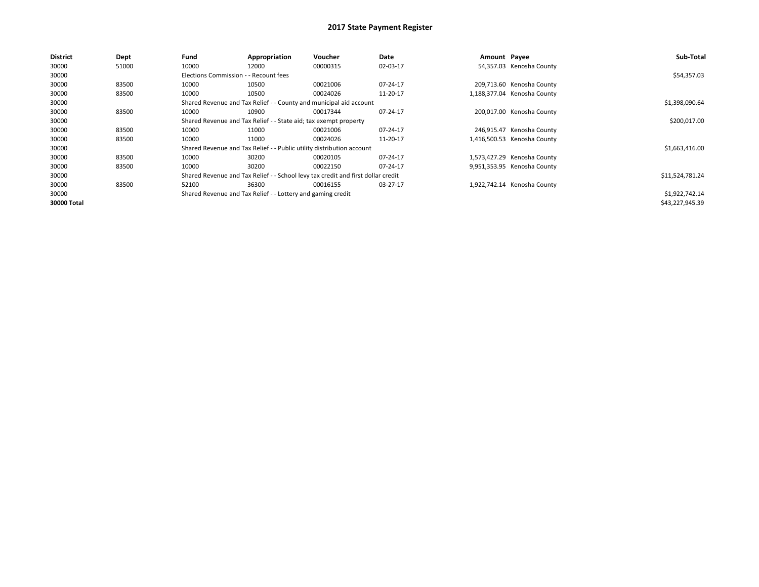| <b>District</b> | Dept  | Fund                                                               | Appropriation                                                                    | <b>Voucher</b> | Date     | Amount Payee |                             | Sub-Total       |
|-----------------|-------|--------------------------------------------------------------------|----------------------------------------------------------------------------------|----------------|----------|--------------|-----------------------------|-----------------|
| 30000           | 51000 | 10000                                                              | 12000                                                                            | 00000315       | 02-03-17 |              | 54,357.03 Kenosha County    |                 |
| 30000           |       | Elections Commission - - Recount fees                              |                                                                                  |                |          |              |                             | \$54,357.03     |
| 30000           | 83500 | 10000                                                              | 10500                                                                            | 00021006       | 07-24-17 |              | 209,713.60 Kenosha County   |                 |
| 30000           | 83500 | 10000                                                              | 10500                                                                            | 00024026       | 11-20-17 |              | 1,188,377.04 Kenosha County |                 |
| 30000           |       | Shared Revenue and Tax Relief - - County and municipal aid account |                                                                                  | \$1,398,090.64 |          |              |                             |                 |
| 30000           | 83500 | 10000                                                              | 10900                                                                            | 00017344       | 07-24-17 |              | 200,017.00 Kenosha County   |                 |
| 30000           |       |                                                                    | Shared Revenue and Tax Relief - - State aid; tax exempt property                 |                |          |              |                             | \$200,017.00    |
| 30000           | 83500 | 10000                                                              | 11000                                                                            | 00021006       | 07-24-17 |              | 246,915.47 Kenosha County   |                 |
| 30000           | 83500 | 10000                                                              | 11000                                                                            | 00024026       | 11-20-17 |              | 1,416,500.53 Kenosha County |                 |
| 30000           |       |                                                                    | Shared Revenue and Tax Relief - - Public utility distribution account            |                |          |              |                             | \$1,663,416.00  |
| 30000           | 83500 | 10000                                                              | 30200                                                                            | 00020105       | 07-24-17 |              | 1,573,427.29 Kenosha County |                 |
| 30000           | 83500 | 10000                                                              | 30200                                                                            | 00022150       | 07-24-17 |              | 9,951,353.95 Kenosha County |                 |
| 30000           |       |                                                                    | Shared Revenue and Tax Relief - - School levy tax credit and first dollar credit |                |          |              |                             | \$11,524,781.24 |
| 30000           | 83500 | 52100                                                              | 36300                                                                            | 00016155       | 03-27-17 |              | 1,922,742.14 Kenosha County |                 |
| 30000           |       |                                                                    | Shared Revenue and Tax Relief - - Lottery and gaming credit                      |                |          |              |                             | \$1,922,742.14  |
| 30000 Total     |       |                                                                    |                                                                                  |                |          |              |                             | \$43,227,945.39 |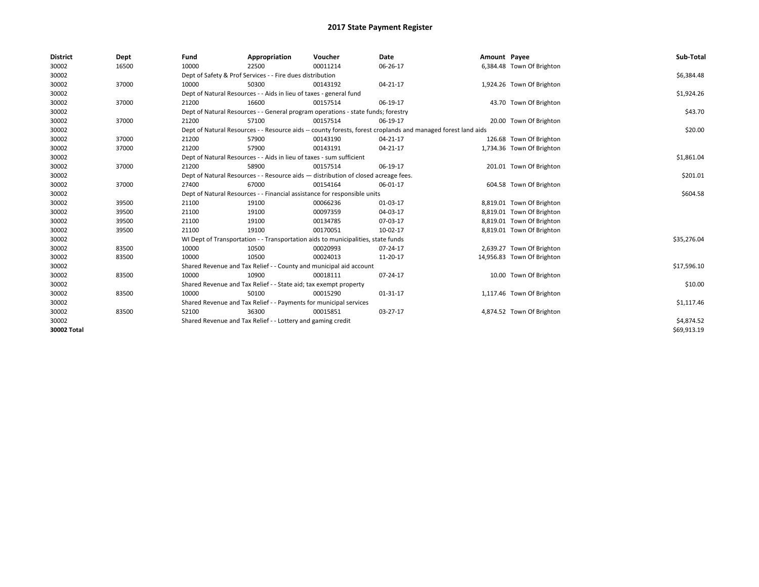| <b>District</b> | Dept  | Fund                                                                                                         | Appropriation                                                                    | Voucher    | Date     | Amount Payee |                            | Sub-Total   |
|-----------------|-------|--------------------------------------------------------------------------------------------------------------|----------------------------------------------------------------------------------|------------|----------|--------------|----------------------------|-------------|
| 30002           | 16500 | 10000                                                                                                        | 22500                                                                            | 00011214   | 06-26-17 |              | 6,384.48 Town Of Brighton  |             |
| 30002           |       |                                                                                                              | Dept of Safety & Prof Services - - Fire dues distribution                        |            |          |              |                            | \$6,384.48  |
| 30002           | 37000 | 10000                                                                                                        | 50300                                                                            | 00143192   | 04-21-17 |              | 1,924.26 Town Of Brighton  |             |
| 30002           |       |                                                                                                              | Dept of Natural Resources - - Aids in lieu of taxes - general fund               |            |          |              |                            | \$1,924.26  |
| 30002           | 37000 | 21200                                                                                                        | 16600                                                                            | 00157514   | 06-19-17 |              | 43.70 Town Of Brighton     |             |
| 30002           |       | Dept of Natural Resources - - General program operations - state funds; forestry                             |                                                                                  | \$43.70    |          |              |                            |             |
| 30002           | 37000 | 21200                                                                                                        | 57100                                                                            | 00157514   | 06-19-17 |              | 20.00 Town Of Brighton     |             |
| 30002           |       | Dept of Natural Resources - - Resource aids -- county forests, forest croplands and managed forest land aids |                                                                                  | \$20.00    |          |              |                            |             |
| 30002           | 37000 | 21200                                                                                                        | 57900                                                                            | 00143190   | 04-21-17 |              | 126.68 Town Of Brighton    |             |
| 30002           | 37000 | 21200                                                                                                        | 57900                                                                            | 00143191   | 04-21-17 |              | 1,734.36 Town Of Brighton  |             |
| 30002           |       | Dept of Natural Resources - - Aids in lieu of taxes - sum sufficient                                         |                                                                                  | \$1,861.04 |          |              |                            |             |
| 30002           | 37000 | 21200                                                                                                        | 58900                                                                            | 00157514   | 06-19-17 |              | 201.01 Town Of Brighton    |             |
| 30002           |       | Dept of Natural Resources - - Resource aids - distribution of closed acreage fees.                           |                                                                                  | \$201.01   |          |              |                            |             |
| 30002           | 37000 | 27400                                                                                                        | 67000                                                                            | 00154164   | 06-01-17 |              | 604.58 Town Of Brighton    |             |
| 30002           |       | Dept of Natural Resources - - Financial assistance for responsible units                                     |                                                                                  | \$604.58   |          |              |                            |             |
| 30002           | 39500 | 21100                                                                                                        | 19100                                                                            | 00066236   | 01-03-17 |              | 8,819.01 Town Of Brighton  |             |
| 30002           | 39500 | 21100                                                                                                        | 19100                                                                            | 00097359   | 04-03-17 |              | 8,819.01 Town Of Brighton  |             |
| 30002           | 39500 | 21100                                                                                                        | 19100                                                                            | 00134785   | 07-03-17 |              | 8,819.01 Town Of Brighton  |             |
| 30002           | 39500 | 21100                                                                                                        | 19100                                                                            | 00170051   | 10-02-17 |              | 8,819.01 Town Of Brighton  |             |
| 30002           |       |                                                                                                              | WI Dept of Transportation - - Transportation aids to municipalities, state funds |            |          |              |                            | \$35,276.04 |
| 30002           | 83500 | 10000                                                                                                        | 10500                                                                            | 00020993   | 07-24-17 |              | 2,639.27 Town Of Brighton  |             |
| 30002           | 83500 | 10000                                                                                                        | 10500                                                                            | 00024013   | 11-20-17 |              | 14,956.83 Town Of Brighton |             |
| 30002           |       |                                                                                                              | Shared Revenue and Tax Relief - - County and municipal aid account               |            |          |              |                            | \$17,596.10 |
| 30002           | 83500 | 10000                                                                                                        | 10900                                                                            | 00018111   | 07-24-17 |              | 10.00 Town Of Brighton     |             |
| 30002           |       |                                                                                                              | Shared Revenue and Tax Relief - - State aid; tax exempt property                 |            |          |              |                            | \$10.00     |
| 30002           | 83500 | 10000                                                                                                        | 50100                                                                            | 00015290   | 01-31-17 |              | 1,117.46 Town Of Brighton  |             |
| 30002           |       |                                                                                                              | Shared Revenue and Tax Relief - - Payments for municipal services                |            |          |              |                            | \$1,117.46  |
| 30002           | 83500 | 52100                                                                                                        | 36300                                                                            | 00015851   | 03-27-17 |              | 4,874.52 Town Of Brighton  |             |
| 30002           |       |                                                                                                              | Shared Revenue and Tax Relief - - Lottery and gaming credit                      |            |          |              |                            | \$4,874.52  |
| 30002 Total     |       |                                                                                                              |                                                                                  |            |          |              |                            | \$69,913.19 |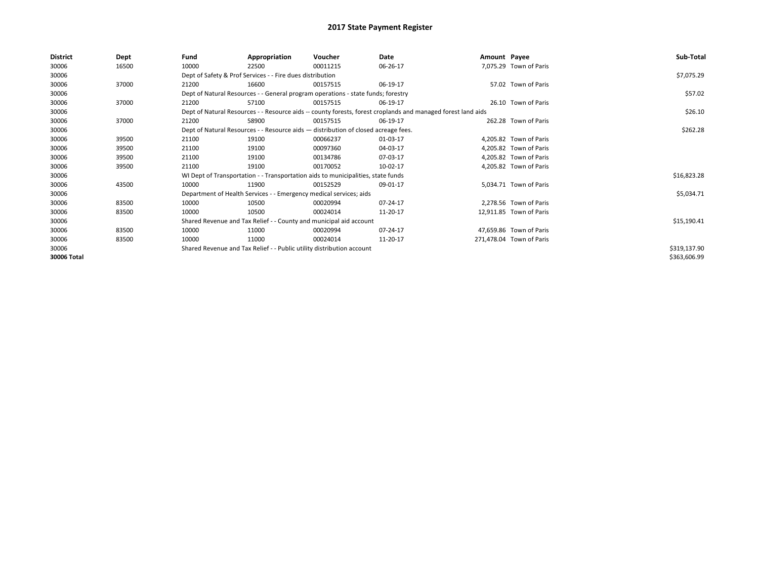| <b>District</b> | <b>Dept</b> | Fund                                                                               | Appropriation                                                                    | Voucher  | Date                                                                                                         | Amount Payee |                          | Sub-Total    |
|-----------------|-------------|------------------------------------------------------------------------------------|----------------------------------------------------------------------------------|----------|--------------------------------------------------------------------------------------------------------------|--------------|--------------------------|--------------|
| 30006           | 16500       | 10000                                                                              | 22500                                                                            | 00011215 | 06-26-17                                                                                                     |              | 7,075.29 Town of Paris   |              |
| 30006           |             |                                                                                    | Dept of Safety & Prof Services - - Fire dues distribution                        |          |                                                                                                              |              |                          | \$7,075.29   |
| 30006           | 37000       | 21200                                                                              | 16600                                                                            | 00157515 | 06-19-17                                                                                                     |              | 57.02 Town of Paris      |              |
| 30006           |             |                                                                                    | Dept of Natural Resources - - General program operations - state funds; forestry |          |                                                                                                              |              |                          | \$57.02      |
| 30006           | 37000       | 21200                                                                              | 57100                                                                            | 00157515 | 06-19-17                                                                                                     |              | 26.10 Town of Paris      |              |
| 30006           |             |                                                                                    |                                                                                  |          | Dept of Natural Resources - - Resource aids -- county forests, forest croplands and managed forest land aids |              |                          | \$26.10      |
| 30006           | 37000       | 21200                                                                              | 58900                                                                            | 00157515 | 06-19-17                                                                                                     |              | 262.28 Town of Paris     |              |
| 30006           |             | Dept of Natural Resources - - Resource aids - distribution of closed acreage fees. |                                                                                  | \$262.28 |                                                                                                              |              |                          |              |
| 30006           | 39500       | 21100                                                                              | 19100                                                                            | 00066237 | 01-03-17                                                                                                     |              | 4,205.82 Town of Paris   |              |
| 30006           | 39500       | 21100                                                                              | 19100                                                                            | 00097360 | 04-03-17                                                                                                     |              | 4,205.82 Town of Paris   |              |
| 30006           | 39500       | 21100                                                                              | 19100                                                                            | 00134786 | 07-03-17                                                                                                     |              | 4,205.82 Town of Paris   |              |
| 30006           | 39500       | 21100                                                                              | 19100                                                                            | 00170052 | 10-02-17                                                                                                     |              | 4,205.82 Town of Paris   |              |
| 30006           |             |                                                                                    | WI Dept of Transportation - - Transportation aids to municipalities, state funds |          |                                                                                                              |              |                          | \$16,823.28  |
| 30006           | 43500       | 10000                                                                              | 11900                                                                            | 00152529 | 09-01-17                                                                                                     |              | 5,034.71 Town of Paris   |              |
| 30006           |             |                                                                                    | Department of Health Services - - Emergency medical services; aids               |          |                                                                                                              |              |                          | \$5,034.71   |
| 30006           | 83500       | 10000                                                                              | 10500                                                                            | 00020994 | 07-24-17                                                                                                     |              | 2,278.56 Town of Paris   |              |
| 30006           | 83500       | 10000                                                                              | 10500                                                                            | 00024014 | 11-20-17                                                                                                     |              | 12,911.85 Town of Paris  |              |
| 30006           |             |                                                                                    | Shared Revenue and Tax Relief - - County and municipal aid account               |          |                                                                                                              |              |                          | \$15,190.41  |
| 30006           | 83500       | 10000                                                                              | 11000                                                                            | 00020994 | 07-24-17                                                                                                     |              | 47,659.86 Town of Paris  |              |
| 30006           | 83500       | 10000                                                                              | 11000                                                                            | 00024014 | 11-20-17                                                                                                     |              | 271,478.04 Town of Paris |              |
| 30006           |             |                                                                                    | Shared Revenue and Tax Relief - - Public utility distribution account            |          |                                                                                                              |              |                          | \$319,137.90 |
| 30006 Total     |             |                                                                                    |                                                                                  |          |                                                                                                              |              |                          | \$363,606.99 |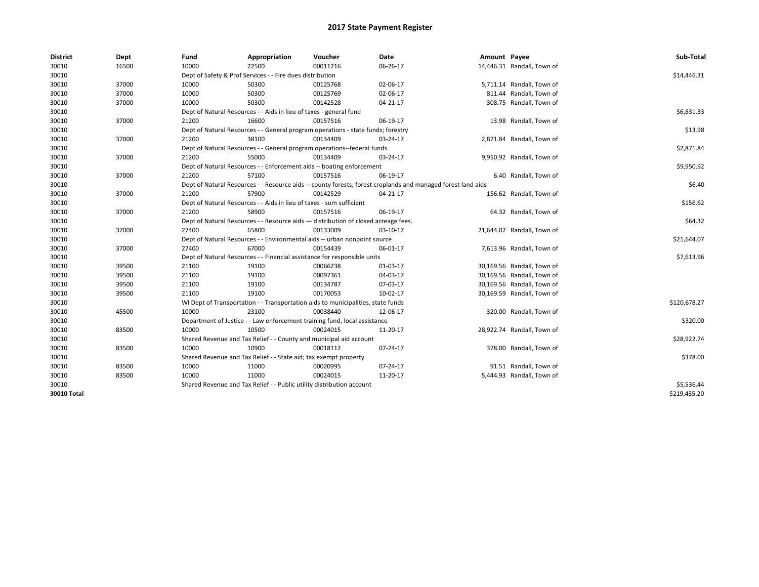| <b>District</b>    | Dept  | Fund                                                                               | Appropriation                                                                                                | Voucher  | Date     | Amount Payee |                            | Sub-Total    |  |  |  |
|--------------------|-------|------------------------------------------------------------------------------------|--------------------------------------------------------------------------------------------------------------|----------|----------|--------------|----------------------------|--------------|--|--|--|
| 30010              | 16500 | 10000                                                                              | 22500                                                                                                        | 00011216 | 06-26-17 |              | 14,446.31 Randall, Town of |              |  |  |  |
| 30010              |       |                                                                                    | Dept of Safety & Prof Services - - Fire dues distribution                                                    |          |          |              |                            | \$14,446.31  |  |  |  |
| 30010              | 37000 | 10000                                                                              | 50300                                                                                                        | 00125768 | 02-06-17 |              | 5,711.14 Randall, Town of  |              |  |  |  |
| 30010              | 37000 | 10000                                                                              | 50300                                                                                                        | 00125769 | 02-06-17 |              | 811.44 Randall, Town of    |              |  |  |  |
| 30010              | 37000 | 10000                                                                              | 50300                                                                                                        | 00142528 | 04-21-17 |              | 308.75 Randall, Town of    |              |  |  |  |
| 30010              |       |                                                                                    | Dept of Natural Resources - - Aids in lieu of taxes - general fund                                           |          |          |              |                            | \$6,831.33   |  |  |  |
| 30010              | 37000 | 21200                                                                              | 16600                                                                                                        | 00157516 | 06-19-17 |              | 13.98 Randall, Town of     |              |  |  |  |
| 30010              |       |                                                                                    | Dept of Natural Resources - - General program operations - state funds; forestry                             |          |          |              |                            | \$13.98      |  |  |  |
| 30010              | 37000 | 21200                                                                              | 38100                                                                                                        | 00134409 | 03-24-17 |              | 2,871.84 Randall, Town of  |              |  |  |  |
| 30010              |       |                                                                                    | Dept of Natural Resources - - General program operations--federal funds                                      |          |          |              |                            | \$2,871.84   |  |  |  |
| 30010              | 37000 | 21200                                                                              | 55000                                                                                                        | 00134409 | 03-24-17 |              | 9,950.92 Randall, Town of  |              |  |  |  |
| 30010              |       |                                                                                    | Dept of Natural Resources - - Enforcement aids -- boating enforcement                                        |          |          |              |                            |              |  |  |  |
| 30010              | 37000 | 21200                                                                              | 57100                                                                                                        | 00157516 | 06-19-17 |              | 6.40 Randall, Town of      |              |  |  |  |
| 30010              |       |                                                                                    | Dept of Natural Resources - - Resource aids -- county forests, forest croplands and managed forest land aids |          |          |              |                            |              |  |  |  |
| 30010              | 37000 | 21200                                                                              | 57900                                                                                                        | 00142529 | 04-21-17 |              | 156.62 Randall, Town of    |              |  |  |  |
| 30010              |       | Dept of Natural Resources - - Aids in lieu of taxes - sum sufficient               |                                                                                                              | \$156.62 |          |              |                            |              |  |  |  |
| 30010              | 37000 | 21200                                                                              | 58900                                                                                                        | 00157516 | 06-19-17 |              | 64.32 Randall, Town of     |              |  |  |  |
| 30010              |       | Dept of Natural Resources - - Resource aids - distribution of closed acreage fees. |                                                                                                              | \$64.32  |          |              |                            |              |  |  |  |
| 30010              | 37000 | 27400                                                                              | 65800                                                                                                        | 00133009 | 03-10-17 |              | 21,644.07 Randall, Town of |              |  |  |  |
| 30010              |       |                                                                                    | Dept of Natural Resources - - Environmental aids -- urban nonpoint source                                    |          |          |              |                            | \$21,644.07  |  |  |  |
| 30010              | 37000 | 27400                                                                              | 67000                                                                                                        | 00154439 | 06-01-17 |              | 7,613.96 Randall, Town of  |              |  |  |  |
| 30010              |       |                                                                                    | Dept of Natural Resources - - Financial assistance for responsible units                                     |          |          |              |                            | \$7,613.96   |  |  |  |
| 30010              | 39500 | 21100                                                                              | 19100                                                                                                        | 00066238 | 01-03-17 |              | 30,169.56 Randall, Town of |              |  |  |  |
| 30010              | 39500 | 21100                                                                              | 19100                                                                                                        | 00097361 | 04-03-17 |              | 30,169.56 Randall, Town of |              |  |  |  |
| 30010              | 39500 | 21100                                                                              | 19100                                                                                                        | 00134787 | 07-03-17 |              | 30,169.56 Randall, Town of |              |  |  |  |
| 30010              | 39500 | 21100                                                                              | 19100                                                                                                        | 00170053 | 10-02-17 |              | 30,169.59 Randall, Town of |              |  |  |  |
| 30010              |       |                                                                                    | WI Dept of Transportation - - Transportation aids to municipalities, state funds                             |          |          |              |                            | \$120,678.27 |  |  |  |
| 30010              | 45500 | 10000                                                                              | 23100                                                                                                        | 00038440 | 12-06-17 |              | 320.00 Randall, Town of    |              |  |  |  |
| 30010              |       |                                                                                    | Department of Justice - - Law enforcement training fund, local assistance                                    |          |          |              |                            | \$320.00     |  |  |  |
| 30010              | 83500 | 10000                                                                              | 10500                                                                                                        | 00024015 | 11-20-17 |              | 28,922.74 Randall, Town of |              |  |  |  |
| 30010              |       |                                                                                    | Shared Revenue and Tax Relief - - County and municipal aid account                                           |          |          |              |                            | \$28,922.74  |  |  |  |
| 30010              | 83500 | 10000                                                                              | 10900                                                                                                        | 00018112 | 07-24-17 |              | 378.00 Randall, Town of    |              |  |  |  |
| 30010              |       |                                                                                    | Shared Revenue and Tax Relief - - State aid; tax exempt property                                             |          |          |              |                            | \$378.00     |  |  |  |
| 30010              | 83500 | 10000                                                                              | 11000                                                                                                        | 00020995 | 07-24-17 |              | 91.51 Randall, Town of     |              |  |  |  |
| 30010              | 83500 | 10000                                                                              | 11000                                                                                                        | 00024015 | 11-20-17 |              | 5,444.93 Randall, Town of  |              |  |  |  |
| 30010              |       |                                                                                    | Shared Revenue and Tax Relief - - Public utility distribution account                                        |          |          |              |                            | \$5,536.44   |  |  |  |
| <b>30010 Total</b> |       |                                                                                    |                                                                                                              |          |          |              |                            | \$219,435.20 |  |  |  |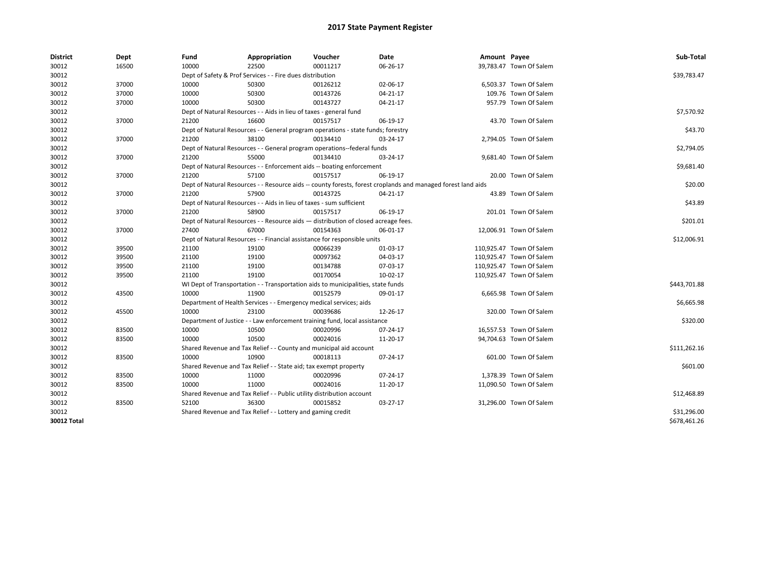| <b>District</b> | Dept  | Fund                                                                     | Appropriation                                                                      | Voucher  | Date                                                                                                         | Amount Payee |                          | Sub-Total    |
|-----------------|-------|--------------------------------------------------------------------------|------------------------------------------------------------------------------------|----------|--------------------------------------------------------------------------------------------------------------|--------------|--------------------------|--------------|
| 30012           | 16500 | 10000                                                                    | 22500                                                                              | 00011217 | 06-26-17                                                                                                     |              | 39,783.47 Town Of Salem  |              |
| 30012           |       |                                                                          | Dept of Safety & Prof Services - - Fire dues distribution                          |          |                                                                                                              |              |                          | \$39,783.47  |
| 30012           | 37000 | 10000                                                                    | 50300                                                                              | 00126212 | 02-06-17                                                                                                     |              | 6,503.37 Town Of Salem   |              |
| 30012           | 37000 | 10000                                                                    | 50300                                                                              | 00143726 | 04-21-17                                                                                                     |              | 109.76 Town Of Salem     |              |
| 30012           | 37000 | 10000                                                                    | 50300                                                                              | 00143727 | 04-21-17                                                                                                     |              | 957.79 Town Of Salem     |              |
| 30012           |       |                                                                          | Dept of Natural Resources - - Aids in lieu of taxes - general fund                 |          |                                                                                                              |              |                          | \$7,570.92   |
| 30012           | 37000 | 21200                                                                    | 16600                                                                              | 00157517 | 06-19-17                                                                                                     |              | 43.70 Town Of Salem      |              |
| 30012           |       |                                                                          | Dept of Natural Resources - - General program operations - state funds; forestry   |          |                                                                                                              |              |                          | \$43.70      |
| 30012           | 37000 | 21200                                                                    | 38100                                                                              | 00134410 | 03-24-17                                                                                                     |              | 2,794.05 Town Of Salem   |              |
| 30012           |       |                                                                          | Dept of Natural Resources - - General program operations--federal funds            |          |                                                                                                              |              |                          | \$2,794.05   |
| 30012           | 37000 | 21200                                                                    | 55000                                                                              | 00134410 | 03-24-17                                                                                                     |              | 9,681.40 Town Of Salem   |              |
| 30012           |       |                                                                          | Dept of Natural Resources - - Enforcement aids -- boating enforcement              |          |                                                                                                              |              |                          | \$9,681.40   |
| 30012           | 37000 | 21200                                                                    | 57100                                                                              | 00157517 | 06-19-17                                                                                                     |              | 20.00 Town Of Salem      |              |
| 30012           |       |                                                                          |                                                                                    |          | Dept of Natural Resources - - Resource aids -- county forests, forest croplands and managed forest land aids |              |                          | \$20.00      |
| 30012           | 37000 | 21200                                                                    | 57900                                                                              | 00143725 | 04-21-17                                                                                                     |              | 43.89 Town Of Salem      |              |
| 30012           |       |                                                                          | Dept of Natural Resources - - Aids in lieu of taxes - sum sufficient               |          |                                                                                                              |              |                          | \$43.89      |
| 30012           | 37000 | 21200                                                                    | 58900                                                                              | 00157517 | 06-19-17                                                                                                     |              | 201.01 Town Of Salem     |              |
| 30012           |       |                                                                          | Dept of Natural Resources - - Resource aids - distribution of closed acreage fees. |          |                                                                                                              |              |                          | \$201.01     |
| 30012           | 37000 | 27400                                                                    | 67000                                                                              | 00154363 | 06-01-17                                                                                                     |              | 12,006.91 Town Of Salem  |              |
| 30012           |       | Dept of Natural Resources - - Financial assistance for responsible units | \$12,006.91                                                                        |          |                                                                                                              |              |                          |              |
| 30012           | 39500 | 21100                                                                    | 19100                                                                              | 00066239 | 01-03-17                                                                                                     |              | 110,925.47 Town Of Salem |              |
| 30012           | 39500 | 21100                                                                    | 19100                                                                              | 00097362 | 04-03-17                                                                                                     |              | 110,925.47 Town Of Salem |              |
| 30012           | 39500 | 21100                                                                    | 19100                                                                              | 00134788 | 07-03-17                                                                                                     |              | 110,925.47 Town Of Salem |              |
| 30012           | 39500 | 21100                                                                    | 19100                                                                              | 00170054 | 10-02-17                                                                                                     |              | 110,925.47 Town Of Salem |              |
| 30012           |       |                                                                          | WI Dept of Transportation - - Transportation aids to municipalities, state funds   |          |                                                                                                              |              |                          | \$443,701.88 |
| 30012           | 43500 | 10000                                                                    | 11900                                                                              | 00152579 | 09-01-17                                                                                                     |              | 6,665.98 Town Of Salem   |              |
| 30012           |       |                                                                          | Department of Health Services - - Emergency medical services; aids                 |          |                                                                                                              |              |                          | \$6,665.98   |
| 30012           | 45500 | 10000                                                                    | 23100                                                                              | 00039686 | 12-26-17                                                                                                     |              | 320.00 Town Of Salem     |              |
| 30012           |       |                                                                          | Department of Justice - - Law enforcement training fund, local assistance          |          |                                                                                                              |              |                          | \$320.00     |
| 30012           | 83500 | 10000                                                                    | 10500                                                                              | 00020996 | 07-24-17                                                                                                     |              | 16,557.53 Town Of Salem  |              |
| 30012           | 83500 | 10000                                                                    | 10500                                                                              | 00024016 | 11-20-17                                                                                                     |              | 94,704.63 Town Of Salem  |              |
| 30012           |       |                                                                          | Shared Revenue and Tax Relief - - County and municipal aid account                 |          |                                                                                                              |              |                          | \$111,262.16 |
| 30012           | 83500 | 10000                                                                    | 10900                                                                              | 00018113 | 07-24-17                                                                                                     |              | 601.00 Town Of Salem     |              |
| 30012           |       |                                                                          | Shared Revenue and Tax Relief - - State aid; tax exempt property                   |          |                                                                                                              |              |                          | \$601.00     |
| 30012           | 83500 | 10000                                                                    | 11000                                                                              | 00020996 | 07-24-17                                                                                                     |              | 1,378.39 Town Of Salem   |              |
| 30012           | 83500 | 10000                                                                    | 11000                                                                              | 00024016 | 11-20-17                                                                                                     |              | 11,090.50 Town Of Salem  |              |
| 30012           |       |                                                                          | Shared Revenue and Tax Relief - - Public utility distribution account              |          |                                                                                                              |              |                          | \$12,468.89  |
| 30012           | 83500 | 52100                                                                    | 36300                                                                              | 00015852 | 03-27-17                                                                                                     |              | 31,296.00 Town Of Salem  |              |
| 30012           |       |                                                                          | Shared Revenue and Tax Relief - - Lottery and gaming credit                        |          |                                                                                                              |              |                          | \$31,296.00  |
| 30012 Total     |       |                                                                          |                                                                                    |          |                                                                                                              |              |                          | \$678,461.26 |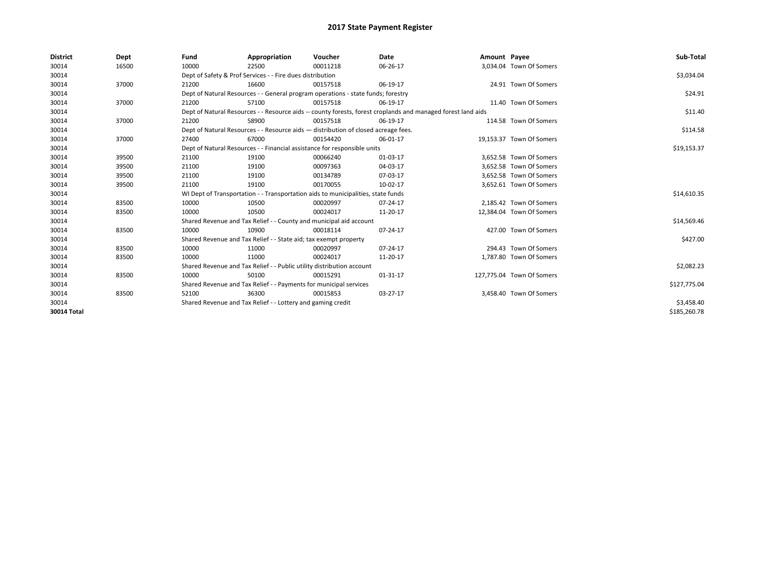| <b>District</b> | Dept  | Fund  | Appropriation                                                                                                | Voucher  | Date     | Amount Payee |                           | Sub-Total    |  |  |
|-----------------|-------|-------|--------------------------------------------------------------------------------------------------------------|----------|----------|--------------|---------------------------|--------------|--|--|
| 30014           | 16500 | 10000 | 22500                                                                                                        | 00011218 | 06-26-17 |              | 3,034.04 Town Of Somers   |              |  |  |
| 30014           |       |       | Dept of Safety & Prof Services - - Fire dues distribution                                                    |          |          |              |                           | \$3,034.04   |  |  |
| 30014           | 37000 | 21200 | 16600                                                                                                        | 00157518 | 06-19-17 |              | 24.91 Town Of Somers      |              |  |  |
| 30014           |       |       | Dept of Natural Resources - - General program operations - state funds; forestry                             |          |          |              |                           | \$24.91      |  |  |
| 30014           | 37000 | 21200 | 57100                                                                                                        | 00157518 | 06-19-17 |              | 11.40 Town Of Somers      |              |  |  |
| 30014           |       |       | Dept of Natural Resources - - Resource aids -- county forests, forest croplands and managed forest land aids |          |          |              |                           |              |  |  |
| 30014           | 37000 | 21200 | 58900                                                                                                        | 00157518 | 06-19-17 |              | 114.58 Town Of Somers     |              |  |  |
| 30014           |       |       | Dept of Natural Resources - - Resource aids - distribution of closed acreage fees.                           |          |          |              |                           |              |  |  |
| 30014           | 37000 | 27400 | 67000                                                                                                        | 00154420 | 06-01-17 |              | 19,153.37 Town Of Somers  |              |  |  |
| 30014           |       |       | Dept of Natural Resources - - Financial assistance for responsible units                                     |          |          |              |                           |              |  |  |
| 30014           | 39500 | 21100 | 19100                                                                                                        | 00066240 | 01-03-17 |              | 3.652.58 Town Of Somers   |              |  |  |
| 30014           | 39500 | 21100 | 19100                                                                                                        | 00097363 | 04-03-17 |              | 3,652.58 Town Of Somers   |              |  |  |
| 30014           | 39500 | 21100 | 19100                                                                                                        | 00134789 | 07-03-17 |              | 3,652.58 Town Of Somers   |              |  |  |
| 30014           | 39500 | 21100 | 19100                                                                                                        | 00170055 | 10-02-17 |              | 3,652.61 Town Of Somers   |              |  |  |
| 30014           |       |       | WI Dept of Transportation - - Transportation aids to municipalities, state funds                             |          |          |              |                           | \$14,610.35  |  |  |
| 30014           | 83500 | 10000 | 10500                                                                                                        | 00020997 | 07-24-17 |              | 2,185.42 Town Of Somers   |              |  |  |
| 30014           | 83500 | 10000 | 10500                                                                                                        | 00024017 | 11-20-17 |              | 12,384.04 Town Of Somers  |              |  |  |
| 30014           |       |       | Shared Revenue and Tax Relief - - County and municipal aid account                                           |          |          |              |                           | \$14,569.46  |  |  |
| 30014           | 83500 | 10000 | 10900                                                                                                        | 00018114 | 07-24-17 |              | 427.00 Town Of Somers     |              |  |  |
| 30014           |       |       | Shared Revenue and Tax Relief - - State aid; tax exempt property                                             |          |          |              |                           | \$427.00     |  |  |
| 30014           | 83500 | 10000 | 11000                                                                                                        | 00020997 | 07-24-17 |              | 294.43 Town Of Somers     |              |  |  |
| 30014           | 83500 | 10000 | 11000                                                                                                        | 00024017 | 11-20-17 |              | 1,787.80 Town Of Somers   |              |  |  |
| 30014           |       |       | Shared Revenue and Tax Relief - - Public utility distribution account                                        |          |          |              |                           | \$2,082.23   |  |  |
| 30014           | 83500 | 10000 | 50100                                                                                                        | 00015291 | 01-31-17 |              | 127,775.04 Town Of Somers |              |  |  |
| 30014           |       |       | Shared Revenue and Tax Relief - - Payments for municipal services                                            |          |          |              |                           | \$127,775.04 |  |  |
| 30014           | 83500 | 52100 | 36300                                                                                                        | 00015853 | 03-27-17 |              | 3,458.40 Town Of Somers   |              |  |  |
| 30014           |       |       | Shared Revenue and Tax Relief - - Lottery and gaming credit                                                  |          |          |              |                           | \$3,458.40   |  |  |
| 30014 Total     |       |       |                                                                                                              |          |          |              |                           | \$185,260.78 |  |  |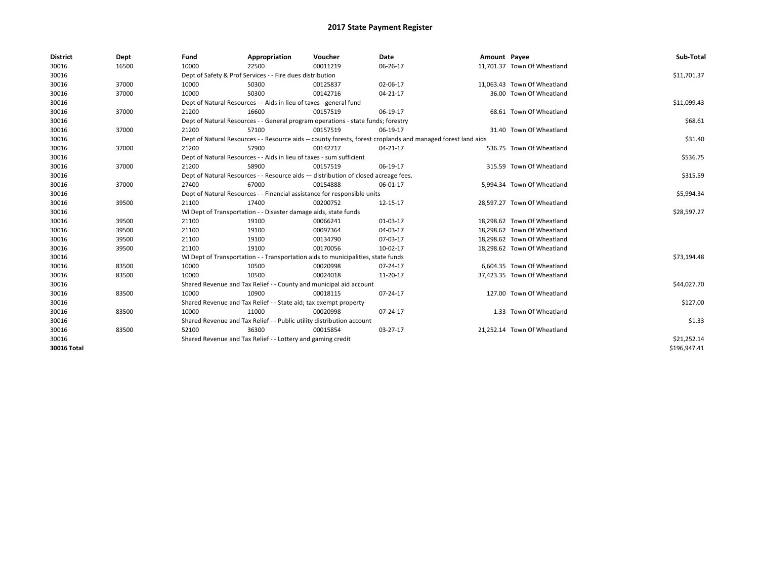| <b>District</b> | Dept  | Fund  | Appropriation                                                                                                | Voucher  | Date     | Amount Payee |                             | Sub-Total    |  |  |  |
|-----------------|-------|-------|--------------------------------------------------------------------------------------------------------------|----------|----------|--------------|-----------------------------|--------------|--|--|--|
| 30016           | 16500 | 10000 | 22500                                                                                                        | 00011219 | 06-26-17 |              | 11,701.37 Town Of Wheatland |              |  |  |  |
| 30016           |       |       | Dept of Safety & Prof Services - - Fire dues distribution                                                    |          |          |              |                             | \$11,701.37  |  |  |  |
| 30016           | 37000 | 10000 | 50300                                                                                                        | 00125837 | 02-06-17 |              | 11,063.43 Town Of Wheatland |              |  |  |  |
| 30016           | 37000 | 10000 | 50300                                                                                                        | 00142716 | 04-21-17 |              | 36.00 Town Of Wheatland     |              |  |  |  |
| 30016           |       |       | Dept of Natural Resources - - Aids in lieu of taxes - general fund                                           |          |          |              |                             | \$11,099.43  |  |  |  |
| 30016           | 37000 | 21200 | 16600                                                                                                        | 00157519 | 06-19-17 |              | 68.61 Town Of Wheatland     |              |  |  |  |
| 30016           |       |       | Dept of Natural Resources - - General program operations - state funds; forestry                             |          |          |              |                             | \$68.61      |  |  |  |
| 30016           | 37000 | 21200 | 57100                                                                                                        | 00157519 | 06-19-17 |              | 31.40 Town Of Wheatland     |              |  |  |  |
| 30016           |       |       | Dept of Natural Resources - - Resource aids -- county forests, forest croplands and managed forest land aids |          |          |              |                             |              |  |  |  |
| 30016           | 37000 | 21200 | 57900                                                                                                        | 00142717 | 04-21-17 |              | 536.75 Town Of Wheatland    |              |  |  |  |
| 30016           |       |       | Dept of Natural Resources - - Aids in lieu of taxes - sum sufficient                                         |          |          |              |                             |              |  |  |  |
| 30016           | 37000 | 21200 | 58900                                                                                                        | 00157519 | 06-19-17 |              | 315.59 Town Of Wheatland    |              |  |  |  |
| 30016           |       |       | Dept of Natural Resources - - Resource aids - distribution of closed acreage fees.                           |          |          |              |                             | \$315.59     |  |  |  |
| 30016           | 37000 | 27400 | 67000                                                                                                        | 00154888 | 06-01-17 |              | 5,994.34 Town Of Wheatland  |              |  |  |  |
| 30016           |       |       | Dept of Natural Resources - - Financial assistance for responsible units                                     |          |          |              |                             |              |  |  |  |
| 30016           | 39500 | 21100 | 17400                                                                                                        | 00200752 | 12-15-17 |              | 28,597.27 Town Of Wheatland |              |  |  |  |
| 30016           |       |       | WI Dept of Transportation - - Disaster damage aids, state funds                                              |          |          |              |                             | \$28,597.27  |  |  |  |
| 30016           | 39500 | 21100 | 19100                                                                                                        | 00066241 | 01-03-17 |              | 18,298.62 Town Of Wheatland |              |  |  |  |
| 30016           | 39500 | 21100 | 19100                                                                                                        | 00097364 | 04-03-17 |              | 18,298.62 Town Of Wheatland |              |  |  |  |
| 30016           | 39500 | 21100 | 19100                                                                                                        | 00134790 | 07-03-17 |              | 18,298.62 Town Of Wheatland |              |  |  |  |
| 30016           | 39500 | 21100 | 19100                                                                                                        | 00170056 | 10-02-17 |              | 18,298.62 Town Of Wheatland |              |  |  |  |
| 30016           |       |       | WI Dept of Transportation - - Transportation aids to municipalities, state funds                             |          |          |              |                             | \$73,194.48  |  |  |  |
| 30016           | 83500 | 10000 | 10500                                                                                                        | 00020998 | 07-24-17 |              | 6,604.35 Town Of Wheatland  |              |  |  |  |
| 30016           | 83500 | 10000 | 10500                                                                                                        | 00024018 | 11-20-17 |              | 37,423.35 Town Of Wheatland |              |  |  |  |
| 30016           |       |       | Shared Revenue and Tax Relief - - County and municipal aid account                                           |          |          |              |                             | \$44,027.70  |  |  |  |
| 30016           | 83500 | 10000 | 10900                                                                                                        | 00018115 | 07-24-17 |              | 127.00 Town Of Wheatland    |              |  |  |  |
| 30016           |       |       | Shared Revenue and Tax Relief - - State aid; tax exempt property                                             |          |          |              |                             | \$127.00     |  |  |  |
| 30016           | 83500 | 10000 | 11000                                                                                                        | 00020998 | 07-24-17 |              | 1.33 Town Of Wheatland      |              |  |  |  |
| 30016           |       |       | Shared Revenue and Tax Relief - - Public utility distribution account                                        |          |          |              |                             | \$1.33       |  |  |  |
| 30016           | 83500 | 52100 | 36300                                                                                                        | 00015854 | 03-27-17 |              | 21,252.14 Town Of Wheatland |              |  |  |  |
| 30016           |       |       | Shared Revenue and Tax Relief - - Lottery and gaming credit                                                  |          |          |              |                             | \$21,252.14  |  |  |  |
| 30016 Total     |       |       |                                                                                                              |          |          |              |                             | \$196,947.41 |  |  |  |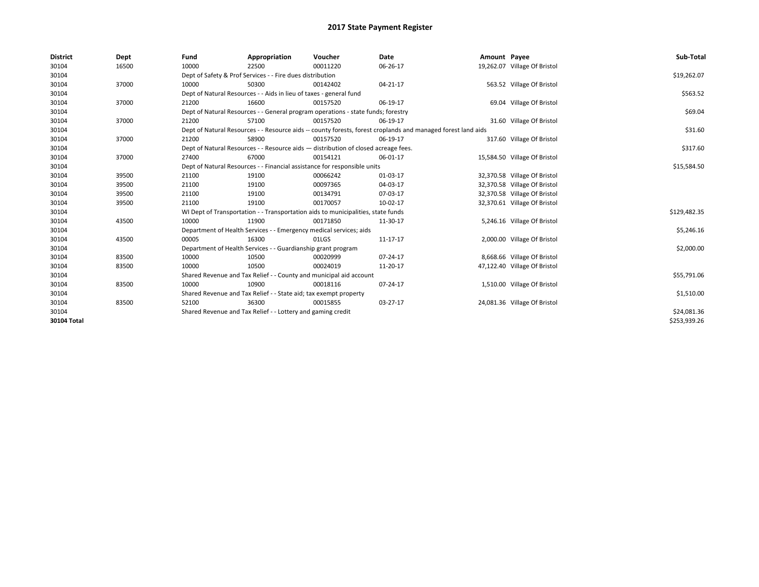| <b>District</b> | Dept  | Fund  | Appropriation                                                                                                | Voucher  | Date     | Amount Payee |                              | Sub-Total    |  |  |
|-----------------|-------|-------|--------------------------------------------------------------------------------------------------------------|----------|----------|--------------|------------------------------|--------------|--|--|
| 30104           | 16500 | 10000 | 22500                                                                                                        | 00011220 | 06-26-17 |              | 19,262.07 Village Of Bristol |              |  |  |
| 30104           |       |       | Dept of Safety & Prof Services - - Fire dues distribution                                                    |          |          |              |                              | \$19,262.07  |  |  |
| 30104           | 37000 | 10000 | 50300                                                                                                        | 00142402 | 04-21-17 |              | 563.52 Village Of Bristol    |              |  |  |
| 30104           |       |       | Dept of Natural Resources - - Aids in lieu of taxes - general fund                                           |          |          |              |                              | \$563.52     |  |  |
| 30104           | 37000 | 21200 | 16600                                                                                                        | 00157520 | 06-19-17 |              | 69.04 Village Of Bristol     |              |  |  |
| 30104           |       |       | Dept of Natural Resources - - General program operations - state funds; forestry                             |          |          |              |                              |              |  |  |
| 30104           | 37000 | 21200 | 57100                                                                                                        | 00157520 | 06-19-17 |              | 31.60 Village Of Bristol     |              |  |  |
| 30104           |       |       | Dept of Natural Resources - - Resource aids -- county forests, forest croplands and managed forest land aids |          |          |              |                              |              |  |  |
| 30104           | 37000 | 21200 | 58900                                                                                                        | 00157520 | 06-19-17 |              | 317.60 Village Of Bristol    |              |  |  |
| 30104           |       |       | Dept of Natural Resources - - Resource aids - distribution of closed acreage fees.                           |          |          |              |                              |              |  |  |
| 30104           | 37000 | 27400 | 67000                                                                                                        | 00154121 | 06-01-17 |              | 15,584.50 Village Of Bristol |              |  |  |
| 30104           |       |       | Dept of Natural Resources - - Financial assistance for responsible units                                     |          |          |              |                              |              |  |  |
| 30104           | 39500 | 21100 | 19100                                                                                                        | 00066242 | 01-03-17 |              | 32,370.58 Village Of Bristol |              |  |  |
| 30104           | 39500 | 21100 | 19100                                                                                                        | 00097365 | 04-03-17 |              | 32,370.58 Village Of Bristol |              |  |  |
| 30104           | 39500 | 21100 | 19100                                                                                                        | 00134791 | 07-03-17 |              | 32,370.58 Village Of Bristol |              |  |  |
| 30104           | 39500 | 21100 | 19100                                                                                                        | 00170057 | 10-02-17 |              | 32,370.61 Village Of Bristol |              |  |  |
| 30104           |       |       | WI Dept of Transportation - - Transportation aids to municipalities, state funds                             |          |          |              |                              | \$129,482.35 |  |  |
| 30104           | 43500 | 10000 | 11900                                                                                                        | 00171850 | 11-30-17 |              | 5,246.16 Village Of Bristol  |              |  |  |
| 30104           |       |       | Department of Health Services - - Emergency medical services; aids                                           |          |          |              |                              | \$5,246.16   |  |  |
| 30104           | 43500 | 00005 | 16300                                                                                                        | 01LGS    | 11-17-17 |              | 2,000.00 Village Of Bristol  |              |  |  |
| 30104           |       |       | Department of Health Services - - Guardianship grant program                                                 |          |          |              |                              | \$2,000.00   |  |  |
| 30104           | 83500 | 10000 | 10500                                                                                                        | 00020999 | 07-24-17 |              | 8,668.66 Village Of Bristol  |              |  |  |
| 30104           | 83500 | 10000 | 10500                                                                                                        | 00024019 | 11-20-17 |              | 47,122.40 Village Of Bristol |              |  |  |
| 30104           |       |       | Shared Revenue and Tax Relief - - County and municipal aid account                                           |          |          |              |                              | \$55,791.06  |  |  |
| 30104           | 83500 | 10000 | 10900                                                                                                        | 00018116 | 07-24-17 |              | 1,510.00 Village Of Bristol  |              |  |  |
| 30104           |       |       | Shared Revenue and Tax Relief - - State aid; tax exempt property                                             |          |          |              |                              | \$1,510.00   |  |  |
| 30104           | 83500 | 52100 | 36300                                                                                                        | 00015855 | 03-27-17 |              | 24,081.36 Village Of Bristol |              |  |  |
| 30104           |       |       | Shared Revenue and Tax Relief - - Lottery and gaming credit                                                  |          |          |              |                              | \$24,081.36  |  |  |
| 30104 Total     |       |       |                                                                                                              |          |          |              |                              | \$253,939.26 |  |  |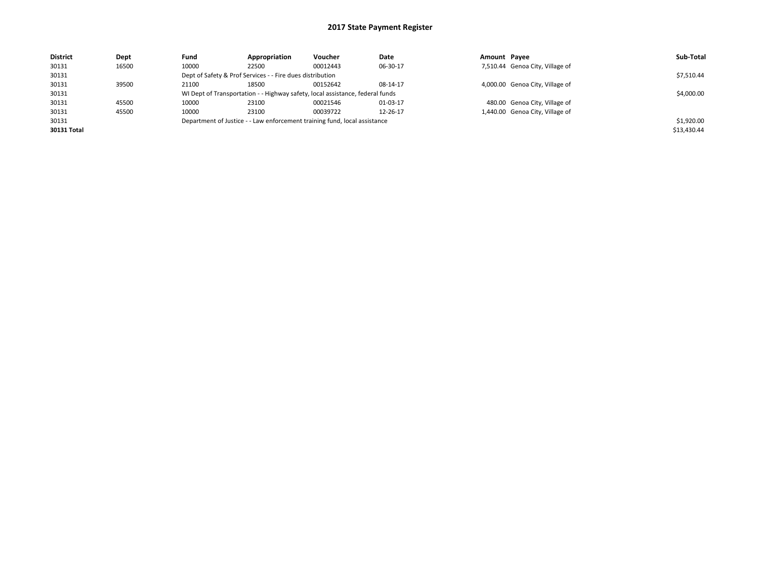| <b>District</b> | Dept  | Fund                                                                      | Appropriation                                             | Voucher                                                                       | Date     | Amount Payee |                                 | Sub-Total   |  |  |
|-----------------|-------|---------------------------------------------------------------------------|-----------------------------------------------------------|-------------------------------------------------------------------------------|----------|--------------|---------------------------------|-------------|--|--|
| 30131           | 16500 | 10000                                                                     | 22500                                                     | 00012443                                                                      | 06-30-17 |              | 7,510.44 Genoa City, Village of |             |  |  |
| 30131           |       |                                                                           | Dept of Safety & Prof Services - - Fire dues distribution |                                                                               |          |              |                                 |             |  |  |
| 30131           | 39500 | 21100                                                                     | 18500                                                     | 00152642                                                                      | 08-14-17 |              | 4,000.00 Genoa City, Village of |             |  |  |
| 30131           |       |                                                                           |                                                           | WI Dept of Transportation - - Highway safety, local assistance, federal funds |          |              |                                 | \$4,000.00  |  |  |
| 30131           | 45500 | 10000                                                                     | 23100                                                     | 00021546                                                                      | 01-03-17 |              | 480.00 Genoa City, Village of   |             |  |  |
| 30131           | 45500 | 10000                                                                     | 23100                                                     | 00039722                                                                      | 12-26-17 |              | 1,440.00 Genoa City, Village of |             |  |  |
| 30131           |       | Department of Justice - - Law enforcement training fund, local assistance |                                                           | \$1,920.00                                                                    |          |              |                                 |             |  |  |
| 30131 Total     |       |                                                                           |                                                           |                                                                               |          |              |                                 | \$13,430.44 |  |  |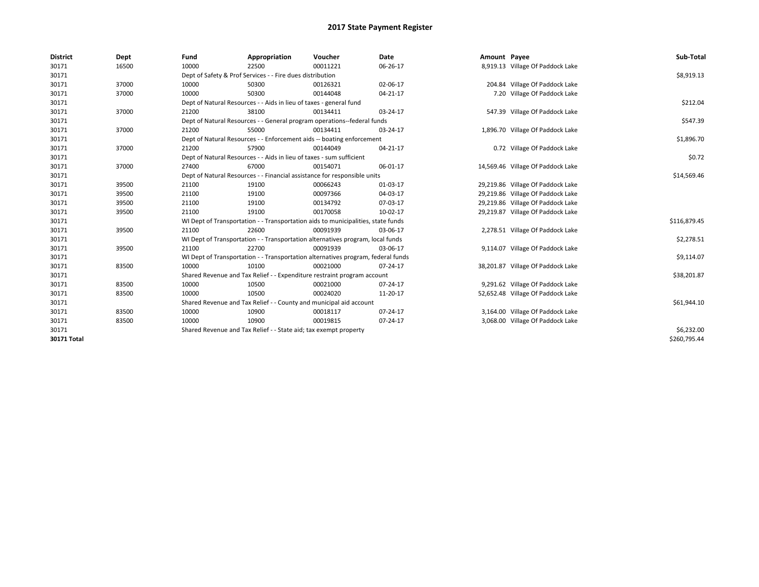| <b>District</b> | Dept  | Fund  | Appropriation                                                                    | Voucher  | Date     | Amount Payee |                                   | Sub-Total    |
|-----------------|-------|-------|----------------------------------------------------------------------------------|----------|----------|--------------|-----------------------------------|--------------|
| 30171           | 16500 | 10000 | 22500                                                                            | 00011221 | 06-26-17 |              | 8,919.13 Village Of Paddock Lake  |              |
| 30171           |       |       | Dept of Safety & Prof Services - - Fire dues distribution                        |          |          |              |                                   | \$8,919.13   |
| 30171           | 37000 | 10000 | 50300                                                                            | 00126321 | 02-06-17 |              | 204.84 Village Of Paddock Lake    |              |
| 30171           | 37000 | 10000 | 50300                                                                            | 00144048 | 04-21-17 |              | 7.20 Village Of Paddock Lake      |              |
| 30171           |       |       | Dept of Natural Resources - - Aids in lieu of taxes - general fund               |          |          |              |                                   | \$212.04     |
| 30171           | 37000 | 21200 | 38100                                                                            | 00134411 | 03-24-17 |              | 547.39 Village Of Paddock Lake    |              |
| 30171           |       |       | Dept of Natural Resources - - General program operations--federal funds          |          |          |              |                                   | \$547.39     |
| 30171           | 37000 | 21200 | 55000                                                                            | 00134411 | 03-24-17 |              | 1,896.70 Village Of Paddock Lake  |              |
| 30171           |       |       | Dept of Natural Resources - - Enforcement aids -- boating enforcement            |          |          |              |                                   | \$1,896.70   |
| 30171           | 37000 | 21200 | 57900                                                                            | 00144049 | 04-21-17 |              | 0.72 Village Of Paddock Lake      |              |
| 30171           |       |       | Dept of Natural Resources - - Aids in lieu of taxes - sum sufficient             |          |          |              |                                   | \$0.72       |
| 30171           | 37000 | 27400 | 67000                                                                            | 00154071 | 06-01-17 |              | 14,569.46 Village Of Paddock Lake |              |
| 30171           |       |       | Dept of Natural Resources - - Financial assistance for responsible units         |          |          |              |                                   | \$14,569.46  |
| 30171           | 39500 | 21100 | 19100                                                                            | 00066243 | 01-03-17 |              | 29,219.86 Village Of Paddock Lake |              |
| 30171           | 39500 | 21100 | 19100                                                                            | 00097366 | 04-03-17 |              | 29,219.86 Village Of Paddock Lake |              |
| 30171           | 39500 | 21100 | 19100                                                                            | 00134792 | 07-03-17 |              | 29,219.86 Village Of Paddock Lake |              |
| 30171           | 39500 | 21100 | 19100                                                                            | 00170058 | 10-02-17 |              | 29,219.87 Village Of Paddock Lake |              |
| 30171           |       |       | WI Dept of Transportation - - Transportation aids to municipalities, state funds |          |          |              |                                   | \$116,879.45 |
| 30171           | 39500 | 21100 | 22600                                                                            | 00091939 | 03-06-17 |              | 2,278.51 Village Of Paddock Lake  |              |
| 30171           |       |       | WI Dept of Transportation - - Transportation alternatives program, local funds   |          |          |              |                                   | \$2,278.51   |
| 30171           | 39500 | 21100 | 22700                                                                            | 00091939 | 03-06-17 |              | 9,114.07 Village Of Paddock Lake  |              |
| 30171           |       |       | WI Dept of Transportation - - Transportation alternatives program, federal funds |          |          |              |                                   | \$9,114.07   |
| 30171           | 83500 | 10000 | 10100                                                                            | 00021000 | 07-24-17 |              | 38,201.87 Village Of Paddock Lake |              |
| 30171           |       |       | Shared Revenue and Tax Relief - - Expenditure restraint program account          |          |          |              |                                   | \$38,201.87  |
| 30171           | 83500 | 10000 | 10500                                                                            | 00021000 | 07-24-17 |              | 9,291.62 Village Of Paddock Lake  |              |
| 30171           | 83500 | 10000 | 10500                                                                            | 00024020 | 11-20-17 |              | 52,652.48 Village Of Paddock Lake |              |
| 30171           |       |       | Shared Revenue and Tax Relief - - County and municipal aid account               |          |          |              |                                   | \$61,944.10  |
| 30171           | 83500 | 10000 | 10900                                                                            | 00018117 | 07-24-17 |              | 3,164.00 Village Of Paddock Lake  |              |
| 30171           | 83500 | 10000 | 10900                                                                            | 00019815 | 07-24-17 |              | 3,068.00 Village Of Paddock Lake  |              |
| 30171           |       |       | Shared Revenue and Tax Relief - - State aid; tax exempt property                 |          |          |              |                                   | \$6,232.00   |
| 30171 Total     |       |       |                                                                                  |          |          |              |                                   | \$260,795.44 |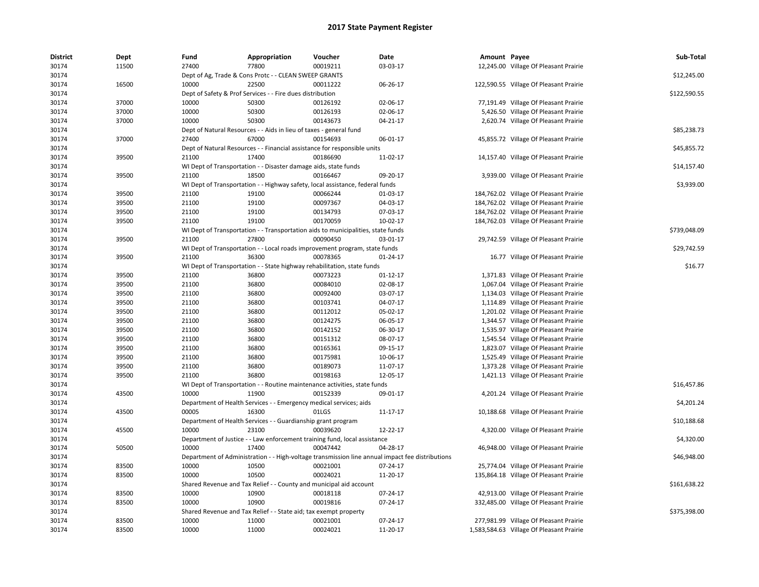| <b>District</b> | Dept  | Fund  | Appropriation                                                                    | Voucher  | Date                                                                                            | Amount Payee |                                          | Sub-Total    |
|-----------------|-------|-------|----------------------------------------------------------------------------------|----------|-------------------------------------------------------------------------------------------------|--------------|------------------------------------------|--------------|
| 30174           | 11500 | 27400 | 77800                                                                            | 00019211 | 03-03-17                                                                                        |              | 12,245.00 Village Of Pleasant Prairie    |              |
| 30174           |       |       | Dept of Ag, Trade & Cons Protc - - CLEAN SWEEP GRANTS                            |          |                                                                                                 |              |                                          | \$12,245.00  |
| 30174           | 16500 | 10000 | 22500                                                                            | 00011222 | 06-26-17                                                                                        |              | 122,590.55 Village Of Pleasant Prairie   |              |
| 30174           |       |       | Dept of Safety & Prof Services - - Fire dues distribution                        |          |                                                                                                 |              |                                          | \$122,590.55 |
| 30174           | 37000 | 10000 | 50300                                                                            | 00126192 | 02-06-17                                                                                        |              | 77,191.49 Village Of Pleasant Prairie    |              |
| 30174           | 37000 | 10000 | 50300                                                                            | 00126193 | 02-06-17                                                                                        |              | 5,426.50 Village Of Pleasant Prairie     |              |
| 30174           | 37000 | 10000 | 50300                                                                            | 00143673 | 04-21-17                                                                                        |              | 2,620.74 Village Of Pleasant Prairie     |              |
| 30174           |       |       | Dept of Natural Resources - - Aids in lieu of taxes - general fund               |          |                                                                                                 |              |                                          | \$85,238.73  |
| 30174           | 37000 | 27400 | 67000                                                                            | 00154693 | 06-01-17                                                                                        |              | 45,855.72 Village Of Pleasant Prairie    |              |
| 30174           |       |       | Dept of Natural Resources - - Financial assistance for responsible units         |          |                                                                                                 |              |                                          | \$45,855.72  |
| 30174           | 39500 | 21100 | 17400                                                                            | 00186690 | 11-02-17                                                                                        |              | 14,157.40 Village Of Pleasant Prairie    |              |
| 30174           |       |       | WI Dept of Transportation - - Disaster damage aids, state funds                  |          |                                                                                                 |              |                                          | \$14,157.40  |
| 30174           | 39500 | 21100 | 18500                                                                            | 00166467 | 09-20-17                                                                                        |              | 3,939.00 Village Of Pleasant Prairie     |              |
| 30174           |       |       | WI Dept of Transportation - - Highway safety, local assistance, federal funds    |          |                                                                                                 |              |                                          | \$3,939.00   |
| 30174           | 39500 | 21100 | 19100                                                                            | 00066244 | 01-03-17                                                                                        |              | 184,762.02 Village Of Pleasant Prairie   |              |
| 30174           | 39500 | 21100 | 19100                                                                            | 00097367 | 04-03-17                                                                                        |              | 184,762.02 Village Of Pleasant Prairie   |              |
| 30174           | 39500 | 21100 | 19100                                                                            | 00134793 | 07-03-17                                                                                        |              | 184,762.02 Village Of Pleasant Prairie   |              |
| 30174           | 39500 | 21100 | 19100                                                                            | 00170059 | 10-02-17                                                                                        |              | 184,762.03 Village Of Pleasant Prairie   |              |
| 30174           |       |       | WI Dept of Transportation - - Transportation aids to municipalities, state funds |          |                                                                                                 |              |                                          | \$739,048.09 |
| 30174           | 39500 | 21100 | 27800                                                                            | 00090450 | 03-01-17                                                                                        |              | 29,742.59 Village Of Pleasant Prairie    |              |
| 30174           |       |       | WI Dept of Transportation - - Local roads improvement program, state funds       |          |                                                                                                 |              |                                          | \$29,742.59  |
| 30174           | 39500 | 21100 | 36300                                                                            | 00078365 | $01 - 24 - 17$                                                                                  |              | 16.77 Village Of Pleasant Prairie        |              |
| 30174           |       |       | WI Dept of Transportation - - State highway rehabilitation, state funds          |          |                                                                                                 |              |                                          | \$16.77      |
| 30174           | 39500 | 21100 | 36800                                                                            | 00073223 | 01-12-17                                                                                        |              | 1,371.83 Village Of Pleasant Prairie     |              |
| 30174           | 39500 | 21100 | 36800                                                                            | 00084010 | 02-08-17                                                                                        |              | 1,067.04 Village Of Pleasant Prairie     |              |
| 30174           | 39500 | 21100 | 36800                                                                            | 00092400 | 03-07-17                                                                                        |              | 1,134.03 Village Of Pleasant Prairie     |              |
| 30174           | 39500 | 21100 | 36800                                                                            | 00103741 | 04-07-17                                                                                        |              | 1,114.89 Village Of Pleasant Prairie     |              |
| 30174           | 39500 | 21100 | 36800                                                                            | 00112012 | 05-02-17                                                                                        |              | 1,201.02 Village Of Pleasant Prairie     |              |
| 30174           | 39500 | 21100 | 36800                                                                            | 00124275 | 06-05-17                                                                                        |              | 1,344.57 Village Of Pleasant Prairie     |              |
| 30174           | 39500 | 21100 | 36800                                                                            | 00142152 | 06-30-17                                                                                        |              | 1,535.97 Village Of Pleasant Prairie     |              |
| 30174           | 39500 | 21100 | 36800                                                                            | 00151312 | 08-07-17                                                                                        |              | 1,545.54 Village Of Pleasant Prairie     |              |
| 30174           | 39500 | 21100 | 36800                                                                            | 00165361 | 09-15-17                                                                                        |              | 1,823.07 Village Of Pleasant Prairie     |              |
| 30174           | 39500 | 21100 | 36800                                                                            | 00175981 | 10-06-17                                                                                        |              | 1,525.49 Village Of Pleasant Prairie     |              |
| 30174           | 39500 | 21100 | 36800                                                                            | 00189073 | 11-07-17                                                                                        |              | 1,373.28 Village Of Pleasant Prairie     |              |
| 30174           | 39500 | 21100 | 36800                                                                            | 00198163 | 12-05-17                                                                                        |              |                                          |              |
| 30174           |       |       | WI Dept of Transportation - - Routine maintenance activities, state funds        |          |                                                                                                 |              | 1,421.13 Village Of Pleasant Prairie     | \$16,457.86  |
| 30174           | 43500 | 10000 | 11900                                                                            | 00152339 | 09-01-17                                                                                        |              | 4,201.24 Village Of Pleasant Prairie     |              |
|                 |       |       |                                                                                  |          |                                                                                                 |              |                                          |              |
| 30174           |       |       | Department of Health Services - - Emergency medical services; aids               |          |                                                                                                 |              |                                          | \$4,201.24   |
| 30174           | 43500 | 00005 | 16300                                                                            | 01LGS    | 11-17-17                                                                                        |              | 10,188.68 Village Of Pleasant Prairie    |              |
| 30174           |       |       | Department of Health Services - - Guardianship grant program                     |          |                                                                                                 |              |                                          | \$10,188.68  |
| 30174           | 45500 | 10000 | 23100                                                                            | 00039620 | 12-22-17                                                                                        |              | 4,320.00 Village Of Pleasant Prairie     |              |
| 30174           |       |       | Department of Justice - - Law enforcement training fund, local assistance        |          |                                                                                                 |              |                                          | \$4,320.00   |
| 30174           | 50500 | 10000 | 17400                                                                            | 00047442 | 04-28-17                                                                                        |              | 46,948.00 Village Of Pleasant Prairie    |              |
| 30174           |       |       |                                                                                  |          | Department of Administration - - High-voltage transmission line annual impact fee distributions |              |                                          | \$46,948.00  |
| 30174           | 83500 | 10000 | 10500                                                                            | 00021001 | 07-24-17                                                                                        |              | 25,774.04 Village Of Pleasant Prairie    |              |
| 30174           | 83500 | 10000 | 10500                                                                            | 00024021 | 11-20-17                                                                                        |              | 135,864.18 Village Of Pleasant Prairie   |              |
| 30174           |       |       | Shared Revenue and Tax Relief - - County and municipal aid account               |          |                                                                                                 |              |                                          | \$161,638.22 |
| 30174           | 83500 | 10000 | 10900                                                                            | 00018118 | 07-24-17                                                                                        |              | 42,913.00 Village Of Pleasant Prairie    |              |
| 30174           | 83500 | 10000 | 10900                                                                            | 00019816 | $07 - 24 - 17$                                                                                  |              | 332,485.00 Village Of Pleasant Prairie   |              |
| 30174           |       |       | Shared Revenue and Tax Relief - - State aid; tax exempt property                 |          |                                                                                                 |              |                                          | \$375,398.00 |
| 30174           | 83500 | 10000 | 11000                                                                            | 00021001 | 07-24-17                                                                                        |              | 277,981.99 Village Of Pleasant Prairie   |              |
| 30174           | 83500 | 10000 | 11000                                                                            | 00024021 | 11-20-17                                                                                        |              | 1,583,584.63 Village Of Pleasant Prairie |              |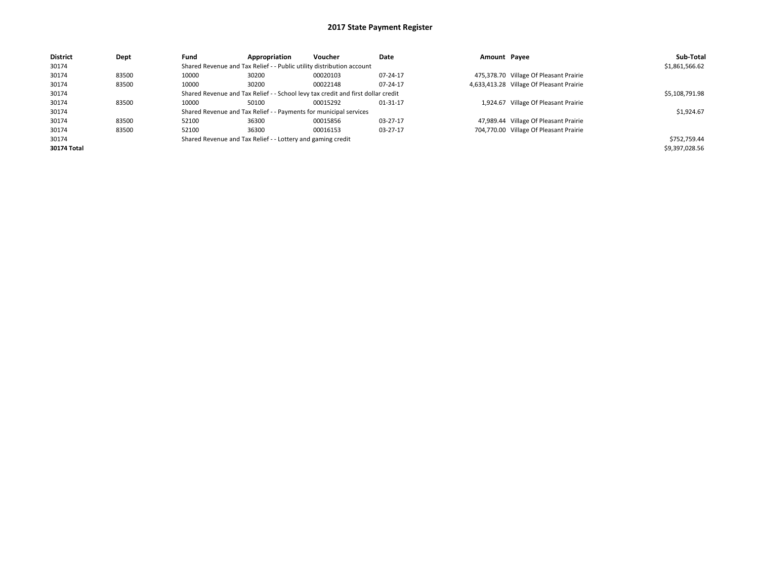| <b>District</b> | Dept  | Fund  | Appropriation                                                                    | Voucher  | Date     | Amount Payee |                                          | Sub-Total      |  |
|-----------------|-------|-------|----------------------------------------------------------------------------------|----------|----------|--------------|------------------------------------------|----------------|--|
| 30174           |       |       | Shared Revenue and Tax Relief - - Public utility distribution account            |          |          |              |                                          |                |  |
| 30174           | 83500 | 10000 | 30200                                                                            | 00020103 | 07-24-17 |              | 475,378.70 Village Of Pleasant Prairie   |                |  |
| 30174           | 83500 | 10000 | 30200                                                                            | 00022148 | 07-24-17 |              | 4,633,413.28 Village Of Pleasant Prairie |                |  |
| 30174           |       |       | Shared Revenue and Tax Relief - - School levy tax credit and first dollar credit |          |          |              |                                          | \$5,108,791.98 |  |
| 30174           | 83500 | 10000 | 50100                                                                            | 00015292 | 01-31-17 |              | 1,924.67 Village Of Pleasant Prairie     |                |  |
| 30174           |       |       | Shared Revenue and Tax Relief - - Payments for municipal services                |          |          |              |                                          | \$1,924.67     |  |
| 30174           | 83500 | 52100 | 36300                                                                            | 00015856 | 03-27-17 |              | 47,989.44 Village Of Pleasant Prairie    |                |  |
| 30174           | 83500 | 52100 | 36300                                                                            | 00016153 | 03-27-17 |              | 704,770.00 Village Of Pleasant Prairie   |                |  |
| 30174           |       |       | Shared Revenue and Tax Relief - - Lottery and gaming credit                      |          |          |              |                                          |                |  |
| 30174 Total     |       |       |                                                                                  |          |          |              |                                          | \$9,397,028.56 |  |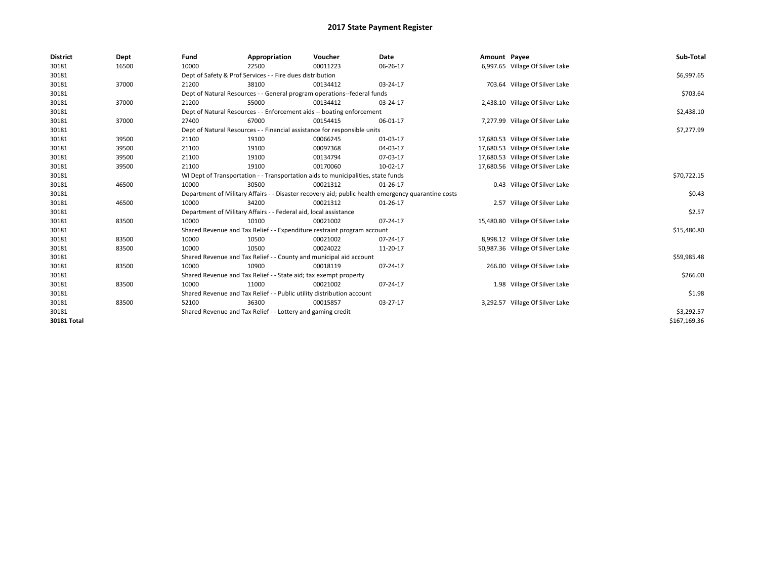| <b>District</b> | Dept  | Fund  | Appropriation                                                                    | Voucher  | <b>Date</b>                                                                                        | Amount Payee |                                  | Sub-Total    |
|-----------------|-------|-------|----------------------------------------------------------------------------------|----------|----------------------------------------------------------------------------------------------------|--------------|----------------------------------|--------------|
| 30181           | 16500 | 10000 | 22500                                                                            | 00011223 | 06-26-17                                                                                           |              | 6,997.65 Village Of Silver Lake  |              |
| 30181           |       |       | Dept of Safety & Prof Services - - Fire dues distribution                        |          |                                                                                                    |              |                                  | \$6,997.65   |
| 30181           | 37000 | 21200 | 38100                                                                            | 00134412 | 03-24-17                                                                                           |              | 703.64 Village Of Silver Lake    |              |
| 30181           |       |       | Dept of Natural Resources - - General program operations--federal funds          |          |                                                                                                    |              |                                  | \$703.64     |
| 30181           | 37000 | 21200 | 55000                                                                            | 00134412 | 03-24-17                                                                                           |              | 2,438.10 Village Of Silver Lake  |              |
| 30181           |       |       | Dept of Natural Resources - - Enforcement aids -- boating enforcement            |          |                                                                                                    |              |                                  | \$2,438.10   |
| 30181           | 37000 | 27400 | 67000                                                                            | 00154415 | 06-01-17                                                                                           |              | 7,277.99 Village Of Silver Lake  |              |
| 30181           |       |       | Dept of Natural Resources - - Financial assistance for responsible units         |          |                                                                                                    |              |                                  | \$7,277.99   |
| 30181           | 39500 | 21100 | 19100                                                                            | 00066245 | 01-03-17                                                                                           |              | 17,680.53 Village Of Silver Lake |              |
| 30181           | 39500 | 21100 | 19100                                                                            | 00097368 | 04-03-17                                                                                           |              | 17,680.53 Village Of Silver Lake |              |
| 30181           | 39500 | 21100 | 19100                                                                            | 00134794 | 07-03-17                                                                                           |              | 17,680.53 Village Of Silver Lake |              |
| 30181           | 39500 | 21100 | 19100                                                                            | 00170060 | 10-02-17                                                                                           |              | 17,680.56 Village Of Silver Lake |              |
| 30181           |       |       | WI Dept of Transportation - - Transportation aids to municipalities, state funds |          |                                                                                                    |              |                                  | \$70,722.15  |
| 30181           | 46500 | 10000 | 30500                                                                            | 00021312 | 01-26-17                                                                                           |              | 0.43 Village Of Silver Lake      |              |
| 30181           |       |       |                                                                                  |          | Department of Military Affairs - - Disaster recovery aid; public health emergency quarantine costs |              |                                  | \$0.43       |
| 30181           | 46500 | 10000 | 34200                                                                            | 00021312 | 01-26-17                                                                                           |              | 2.57 Village Of Silver Lake      |              |
| 30181           |       |       | Department of Military Affairs - - Federal aid, local assistance                 |          |                                                                                                    |              |                                  | \$2.57       |
| 30181           | 83500 | 10000 | 10100                                                                            | 00021002 | 07-24-17                                                                                           |              | 15,480.80 Village Of Silver Lake |              |
| 30181           |       |       | Shared Revenue and Tax Relief - - Expenditure restraint program account          |          |                                                                                                    |              |                                  | \$15,480.80  |
| 30181           | 83500 | 10000 | 10500                                                                            | 00021002 | 07-24-17                                                                                           |              | 8,998.12 Village Of Silver Lake  |              |
| 30181           | 83500 | 10000 | 10500                                                                            | 00024022 | 11-20-17                                                                                           |              | 50,987.36 Village Of Silver Lake |              |
| 30181           |       |       | Shared Revenue and Tax Relief - - County and municipal aid account               |          |                                                                                                    |              |                                  | \$59,985.48  |
| 30181           | 83500 | 10000 | 10900                                                                            | 00018119 | 07-24-17                                                                                           |              | 266.00 Village Of Silver Lake    |              |
| 30181           |       |       | Shared Revenue and Tax Relief - - State aid; tax exempt property                 |          |                                                                                                    |              |                                  | \$266.00     |
| 30181           | 83500 | 10000 | 11000                                                                            | 00021002 | 07-24-17                                                                                           |              | 1.98 Village Of Silver Lake      |              |
| 30181           |       |       | Shared Revenue and Tax Relief - - Public utility distribution account            |          |                                                                                                    |              |                                  | \$1.98       |
| 30181           | 83500 | 52100 | 36300                                                                            | 00015857 | 03-27-17                                                                                           |              | 3,292.57 Village Of Silver Lake  |              |
| 30181           |       |       | Shared Revenue and Tax Relief - - Lottery and gaming credit                      |          |                                                                                                    |              |                                  | \$3,292.57   |
| 30181 Total     |       |       |                                                                                  |          |                                                                                                    |              |                                  | \$167,169.36 |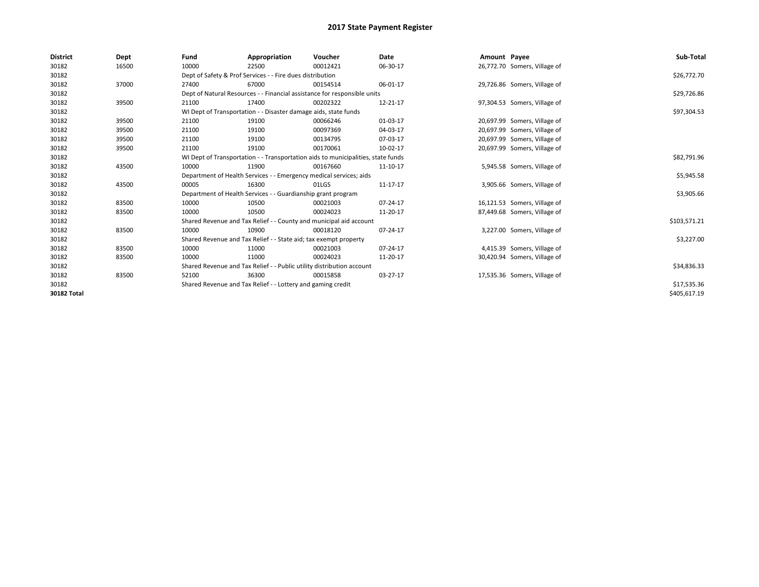| <b>District</b> | Dept  | Fund  | Appropriation                                                         | Voucher                                                                          | Date     | Amount Payee |                              | Sub-Total    |
|-----------------|-------|-------|-----------------------------------------------------------------------|----------------------------------------------------------------------------------|----------|--------------|------------------------------|--------------|
| 30182           | 16500 | 10000 | 22500                                                                 | 00012421                                                                         | 06-30-17 |              | 26,772.70 Somers, Village of |              |
| 30182           |       |       | Dept of Safety & Prof Services - - Fire dues distribution             |                                                                                  |          |              |                              | \$26,772.70  |
| 30182           | 37000 | 27400 | 67000                                                                 | 00154514                                                                         | 06-01-17 |              | 29,726.86 Somers, Village of |              |
| 30182           |       |       |                                                                       | Dept of Natural Resources - - Financial assistance for responsible units         |          |              |                              | \$29,726.86  |
| 30182           | 39500 | 21100 | 17400                                                                 | 00202322                                                                         | 12-21-17 |              | 97,304.53 Somers, Village of |              |
| 30182           |       |       | WI Dept of Transportation - - Disaster damage aids, state funds       |                                                                                  |          |              |                              | \$97,304.53  |
| 30182           | 39500 | 21100 | 19100                                                                 | 00066246                                                                         | 01-03-17 |              | 20,697.99 Somers, Village of |              |
| 30182           | 39500 | 21100 | 19100                                                                 | 00097369                                                                         | 04-03-17 |              | 20,697.99 Somers, Village of |              |
| 30182           | 39500 | 21100 | 19100                                                                 | 00134795                                                                         | 07-03-17 |              | 20,697.99 Somers, Village of |              |
| 30182           | 39500 | 21100 | 19100                                                                 | 00170061                                                                         | 10-02-17 |              | 20,697.99 Somers, Village of |              |
| 30182           |       |       |                                                                       | WI Dept of Transportation - - Transportation aids to municipalities, state funds |          |              |                              | \$82,791.96  |
| 30182           | 43500 | 10000 | 11900                                                                 | 00167660                                                                         | 11-10-17 |              | 5,945.58 Somers, Village of  |              |
| 30182           |       |       | Department of Health Services - - Emergency medical services; aids    |                                                                                  |          |              |                              | \$5,945.58   |
| 30182           | 43500 | 00005 | 16300                                                                 | 01LGS                                                                            | 11-17-17 |              | 3,905.66 Somers, Village of  |              |
| 30182           |       |       | Department of Health Services - - Guardianship grant program          |                                                                                  |          |              |                              | \$3,905.66   |
| 30182           | 83500 | 10000 | 10500                                                                 | 00021003                                                                         | 07-24-17 |              | 16,121.53 Somers, Village of |              |
| 30182           | 83500 | 10000 | 10500                                                                 | 00024023                                                                         | 11-20-17 |              | 87,449.68 Somers, Village of |              |
| 30182           |       |       |                                                                       | Shared Revenue and Tax Relief - - County and municipal aid account               |          |              |                              | \$103,571.21 |
| 30182           | 83500 | 10000 | 10900                                                                 | 00018120                                                                         | 07-24-17 |              | 3,227.00 Somers, Village of  |              |
| 30182           |       |       | Shared Revenue and Tax Relief - - State aid; tax exempt property      |                                                                                  |          |              |                              | \$3,227.00   |
| 30182           | 83500 | 10000 | 11000                                                                 | 00021003                                                                         | 07-24-17 |              | 4,415.39 Somers, Village of  |              |
| 30182           | 83500 | 10000 | 11000                                                                 | 00024023                                                                         | 11-20-17 |              | 30,420.94 Somers, Village of |              |
| 30182           |       |       | Shared Revenue and Tax Relief - - Public utility distribution account |                                                                                  |          |              |                              | \$34,836.33  |
| 30182           | 83500 | 52100 | 36300                                                                 | 00015858                                                                         | 03-27-17 |              | 17,535.36 Somers, Village of |              |
| 30182           |       |       | Shared Revenue and Tax Relief - - Lottery and gaming credit           |                                                                                  |          |              |                              | \$17,535.36  |
| 30182 Total     |       |       |                                                                       |                                                                                  |          |              |                              | \$405,617.19 |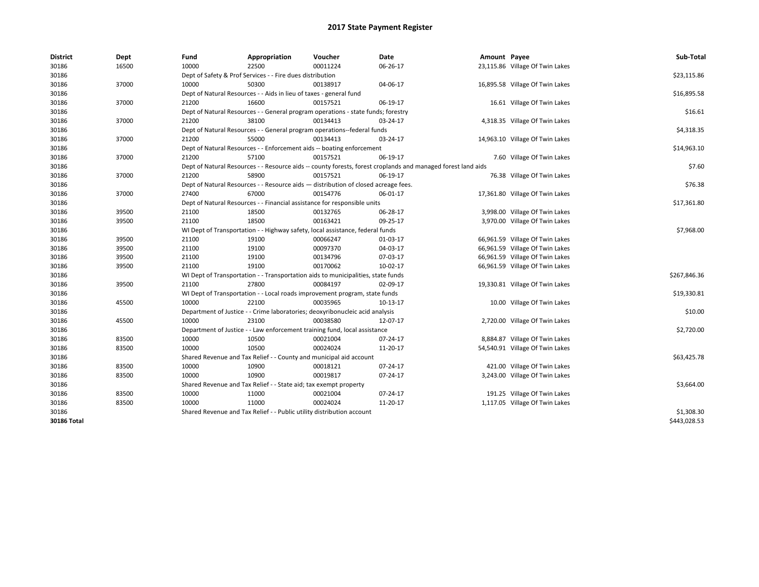| <b>District</b> | Dept  | Fund  | Appropriation                                                                      | Voucher  | Date                                                                                                         | Amount Payee |                                 | Sub-Total    |  |  |
|-----------------|-------|-------|------------------------------------------------------------------------------------|----------|--------------------------------------------------------------------------------------------------------------|--------------|---------------------------------|--------------|--|--|
| 30186           | 16500 | 10000 | 22500                                                                              | 00011224 | 06-26-17                                                                                                     |              | 23,115.86 Village Of Twin Lakes |              |  |  |
| 30186           |       |       | Dept of Safety & Prof Services - - Fire dues distribution                          |          |                                                                                                              |              |                                 | \$23,115.86  |  |  |
| 30186           | 37000 | 10000 | 50300                                                                              | 00138917 | 04-06-17                                                                                                     |              | 16,895.58 Village Of Twin Lakes |              |  |  |
| 30186           |       |       | Dept of Natural Resources - - Aids in lieu of taxes - general fund                 |          |                                                                                                              |              |                                 |              |  |  |
| 30186           | 37000 | 21200 | 16600                                                                              | 00157521 | 06-19-17                                                                                                     |              | 16.61 Village Of Twin Lakes     |              |  |  |
| 30186           |       |       | Dept of Natural Resources - - General program operations - state funds; forestry   |          |                                                                                                              |              |                                 | \$16.61      |  |  |
| 30186           | 37000 | 21200 | 38100                                                                              | 00134413 | 03-24-17                                                                                                     |              | 4,318.35 Village Of Twin Lakes  |              |  |  |
| 30186           |       |       | Dept of Natural Resources - - General program operations--federal funds            |          |                                                                                                              |              |                                 | \$4,318.35   |  |  |
| 30186           | 37000 | 21200 | 55000                                                                              | 00134413 | 03-24-17                                                                                                     |              | 14,963.10 Village Of Twin Lakes |              |  |  |
| 30186           |       |       | Dept of Natural Resources - - Enforcement aids -- boating enforcement              |          |                                                                                                              |              |                                 | \$14,963.10  |  |  |
| 30186           | 37000 | 21200 | 57100                                                                              | 00157521 | 06-19-17                                                                                                     |              | 7.60 Village Of Twin Lakes      |              |  |  |
| 30186           |       |       |                                                                                    |          | Dept of Natural Resources - - Resource aids -- county forests, forest croplands and managed forest land aids |              |                                 | \$7.60       |  |  |
| 30186           | 37000 | 21200 | 58900                                                                              | 00157521 | 06-19-17                                                                                                     |              | 76.38 Village Of Twin Lakes     |              |  |  |
| 30186           |       |       | Dept of Natural Resources - - Resource aids - distribution of closed acreage fees. |          |                                                                                                              |              |                                 | \$76.38      |  |  |
| 30186           | 37000 | 27400 | 67000                                                                              | 00154776 | 06-01-17                                                                                                     |              | 17,361.80 Village Of Twin Lakes |              |  |  |
| 30186           |       |       | Dept of Natural Resources - - Financial assistance for responsible units           |          |                                                                                                              |              |                                 | \$17,361.80  |  |  |
| 30186           | 39500 | 21100 | 18500                                                                              | 00132765 | 06-28-17                                                                                                     |              | 3,998.00 Village Of Twin Lakes  |              |  |  |
| 30186           | 39500 | 21100 | 18500                                                                              | 00163421 | 09-25-17                                                                                                     |              | 3,970.00 Village Of Twin Lakes  |              |  |  |
| 30186           |       |       | WI Dept of Transportation - - Highway safety, local assistance, federal funds      |          |                                                                                                              |              |                                 | \$7,968.00   |  |  |
| 30186           | 39500 | 21100 | 19100                                                                              | 00066247 | 01-03-17                                                                                                     |              | 66,961.59 Village Of Twin Lakes |              |  |  |
| 30186           | 39500 | 21100 | 19100                                                                              | 00097370 | 04-03-17                                                                                                     |              | 66,961.59 Village Of Twin Lakes |              |  |  |
| 30186           | 39500 | 21100 | 19100                                                                              | 00134796 | 07-03-17                                                                                                     |              | 66,961.59 Village Of Twin Lakes |              |  |  |
| 30186           | 39500 | 21100 | 19100                                                                              | 00170062 | 10-02-17                                                                                                     |              | 66,961.59 Village Of Twin Lakes |              |  |  |
| 30186           |       |       | WI Dept of Transportation - - Transportation aids to municipalities, state funds   |          |                                                                                                              |              |                                 | \$267,846.36 |  |  |
| 30186           | 39500 | 21100 | 27800                                                                              | 00084197 | 02-09-17                                                                                                     |              | 19,330.81 Village Of Twin Lakes |              |  |  |
| 30186           |       |       | WI Dept of Transportation - - Local roads improvement program, state funds         |          |                                                                                                              |              |                                 | \$19,330.81  |  |  |
| 30186           | 45500 | 10000 | 22100                                                                              | 00035965 | 10-13-17                                                                                                     |              | 10.00 Village Of Twin Lakes     |              |  |  |
| 30186           |       |       | Department of Justice - - Crime laboratories; deoxyribonucleic acid analysis       |          |                                                                                                              |              |                                 | \$10.00      |  |  |
| 30186           | 45500 | 10000 | 23100                                                                              | 00038580 | 12-07-17                                                                                                     |              | 2,720.00 Village Of Twin Lakes  |              |  |  |
| 30186           |       |       | Department of Justice - - Law enforcement training fund, local assistance          |          |                                                                                                              |              |                                 | \$2,720.00   |  |  |
| 30186           | 83500 | 10000 | 10500                                                                              | 00021004 | 07-24-17                                                                                                     |              | 8,884.87 Village Of Twin Lakes  |              |  |  |
| 30186           | 83500 | 10000 | 10500                                                                              | 00024024 | 11-20-17                                                                                                     |              | 54,540.91 Village Of Twin Lakes |              |  |  |
| 30186           |       |       | Shared Revenue and Tax Relief - - County and municipal aid account                 |          |                                                                                                              |              |                                 | \$63,425.78  |  |  |
| 30186           | 83500 | 10000 | 10900                                                                              | 00018121 | 07-24-17                                                                                                     |              | 421.00 Village Of Twin Lakes    |              |  |  |
| 30186           | 83500 | 10000 | 10900                                                                              | 00019817 | 07-24-17                                                                                                     |              | 3,243.00 Village Of Twin Lakes  |              |  |  |
| 30186           |       |       | Shared Revenue and Tax Relief - - State aid; tax exempt property                   |          |                                                                                                              |              |                                 | \$3,664.00   |  |  |
| 30186           | 83500 | 10000 | 11000                                                                              | 00021004 | 07-24-17                                                                                                     |              | 191.25 Village Of Twin Lakes    |              |  |  |
| 30186           | 83500 | 10000 | 11000                                                                              | 00024024 | 11-20-17                                                                                                     |              | 1,117.05 Village Of Twin Lakes  |              |  |  |
| 30186           |       |       | Shared Revenue and Tax Relief - - Public utility distribution account              |          |                                                                                                              |              |                                 | \$1,308.30   |  |  |
| 30186 Total     |       |       |                                                                                    |          |                                                                                                              |              |                                 | \$443,028.53 |  |  |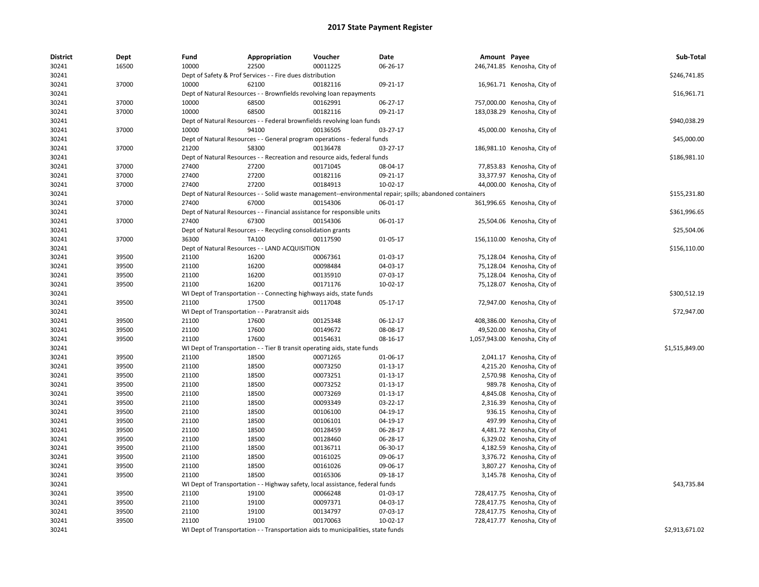| <b>District</b> | Dept  | Fund  | Appropriation                                                                    | Voucher  | Date                                                                                                     | Amount Payee |                               | Sub-Total      |
|-----------------|-------|-------|----------------------------------------------------------------------------------|----------|----------------------------------------------------------------------------------------------------------|--------------|-------------------------------|----------------|
| 30241           | 16500 | 10000 | 22500                                                                            | 00011225 | 06-26-17                                                                                                 |              | 246,741.85 Kenosha, City of   |                |
| 30241           |       |       | Dept of Safety & Prof Services - - Fire dues distribution                        |          |                                                                                                          |              |                               | \$246,741.85   |
| 30241           | 37000 | 10000 | 62100                                                                            | 00182116 | 09-21-17                                                                                                 |              | 16,961.71 Kenosha, City of    |                |
| 30241           |       |       | Dept of Natural Resources - - Brownfields revolving loan repayments              |          |                                                                                                          |              |                               | \$16,961.71    |
| 30241           | 37000 | 10000 | 68500                                                                            | 00162991 | 06-27-17                                                                                                 |              | 757,000.00 Kenosha, City of   |                |
| 30241           | 37000 | 10000 | 68500                                                                            | 00182116 | 09-21-17                                                                                                 |              | 183,038.29 Kenosha, City of   |                |
| 30241           |       |       | Dept of Natural Resources - - Federal brownfields revolving loan funds           |          |                                                                                                          |              |                               | \$940,038.29   |
| 30241           | 37000 | 10000 | 94100                                                                            | 00136505 | 03-27-17                                                                                                 |              | 45,000.00 Kenosha, City of    |                |
| 30241           |       |       | Dept of Natural Resources - - General program operations - federal funds         |          |                                                                                                          |              |                               | \$45,000.00    |
| 30241           | 37000 | 21200 | 58300                                                                            | 00136478 | 03-27-17                                                                                                 |              | 186,981.10 Kenosha, City of   |                |
| 30241           |       |       | Dept of Natural Resources - - Recreation and resource aids, federal funds        |          |                                                                                                          |              |                               | \$186,981.10   |
| 30241           | 37000 | 27400 | 27200                                                                            | 00171045 | 08-04-17                                                                                                 |              | 77,853.83 Kenosha, City of    |                |
| 30241           | 37000 | 27400 | 27200                                                                            | 00182116 | 09-21-17                                                                                                 |              | 33,377.97 Kenosha, City of    |                |
| 30241           | 37000 | 27400 | 27200                                                                            | 00184913 | 10-02-17                                                                                                 |              | 44,000.00 Kenosha, City of    |                |
| 30241           |       |       |                                                                                  |          | Dept of Natural Resources - - Solid waste management--environmental repair; spills; abandoned containers |              |                               | \$155,231.80   |
| 30241           | 37000 | 27400 | 67000                                                                            | 00154306 | 06-01-17                                                                                                 |              | 361,996.65 Kenosha, City of   |                |
| 30241           |       |       | Dept of Natural Resources - - Financial assistance for responsible units         |          |                                                                                                          |              |                               | \$361,996.65   |
| 30241           | 37000 | 27400 | 67300                                                                            | 00154306 | 06-01-17                                                                                                 |              | 25,504.06 Kenosha, City of    |                |
| 30241           |       |       | Dept of Natural Resources - - Recycling consolidation grants                     |          |                                                                                                          |              |                               | \$25,504.06    |
| 30241           | 37000 | 36300 | TA100                                                                            | 00117590 | 01-05-17                                                                                                 |              | 156,110.00 Kenosha, City of   |                |
| 30241           |       |       | Dept of Natural Resources - - LAND ACQUISITION                                   |          |                                                                                                          |              |                               | \$156,110.00   |
| 30241           | 39500 | 21100 | 16200                                                                            | 00067361 | 01-03-17                                                                                                 |              | 75,128.04 Kenosha, City of    |                |
| 30241           | 39500 | 21100 | 16200                                                                            | 00098484 | 04-03-17                                                                                                 |              | 75,128.04 Kenosha, City of    |                |
| 30241           | 39500 | 21100 | 16200                                                                            | 00135910 | 07-03-17                                                                                                 |              | 75,128.04 Kenosha, City of    |                |
| 30241           | 39500 | 21100 | 16200                                                                            | 00171176 | 10-02-17                                                                                                 |              | 75,128.07 Kenosha, City of    |                |
| 30241           |       |       | WI Dept of Transportation - - Connecting highways aids, state funds              |          |                                                                                                          |              |                               | \$300,512.19   |
| 30241           | 39500 | 21100 | 17500                                                                            | 00117048 | 05-17-17                                                                                                 |              | 72,947.00 Kenosha, City of    |                |
| 30241           |       |       | WI Dept of Transportation - - Paratransit aids                                   |          |                                                                                                          |              |                               | \$72,947.00    |
| 30241           | 39500 | 21100 | 17600                                                                            | 00125348 | 06-12-17                                                                                                 |              | 408,386.00 Kenosha, City of   |                |
| 30241           | 39500 | 21100 | 17600                                                                            | 00149672 | 08-08-17                                                                                                 |              | 49,520.00 Kenosha, City of    |                |
| 30241           | 39500 | 21100 | 17600                                                                            | 00154631 | 08-16-17                                                                                                 |              | 1,057,943.00 Kenosha, City of |                |
| 30241           |       |       | WI Dept of Transportation - - Tier B transit operating aids, state funds         |          |                                                                                                          |              |                               | \$1,515,849.00 |
| 30241           | 39500 | 21100 | 18500                                                                            | 00071265 | 01-06-17                                                                                                 |              | 2,041.17 Kenosha, City of     |                |
| 30241           | 39500 | 21100 | 18500                                                                            | 00073250 | 01-13-17                                                                                                 |              | 4,215.20 Kenosha, City of     |                |
| 30241           | 39500 | 21100 | 18500                                                                            | 00073251 | 01-13-17                                                                                                 |              | 2,570.98 Kenosha, City of     |                |
| 30241           | 39500 | 21100 | 18500                                                                            | 00073252 | 01-13-17                                                                                                 |              | 989.78 Kenosha, City of       |                |
| 30241           | 39500 | 21100 | 18500                                                                            | 00073269 | 01-13-17                                                                                                 |              | 4,845.08 Kenosha, City of     |                |
| 30241           | 39500 | 21100 | 18500                                                                            | 00093349 | 03-22-17                                                                                                 |              | 2,316.39 Kenosha, City of     |                |
| 30241           | 39500 | 21100 | 18500                                                                            | 00106100 | 04-19-17                                                                                                 |              | 936.15 Kenosha, City of       |                |
| 30241           | 39500 | 21100 | 18500                                                                            | 00106101 | 04-19-17                                                                                                 |              | 497.99 Kenosha, City of       |                |
| 30241           | 39500 | 21100 | 18500                                                                            | 00128459 | 06-28-17                                                                                                 |              | 4,481.72 Kenosha, City of     |                |
| 30241           | 39500 | 21100 | 18500                                                                            | 00128460 | 06-28-17                                                                                                 |              | 6,329.02 Kenosha, City of     |                |
| 30241           | 39500 | 21100 | 18500                                                                            | 00136711 | 06-30-17                                                                                                 |              | 4,182.59 Kenosha, City of     |                |
| 30241           | 39500 | 21100 | 18500                                                                            | 00161025 | 09-06-17                                                                                                 |              | 3,376.72 Kenosha, City of     |                |
| 30241           | 39500 | 21100 | 18500                                                                            | 00161026 | 09-06-17                                                                                                 |              | 3,807.27 Kenosha, City of     |                |
| 30241           | 39500 | 21100 | 18500                                                                            | 00165306 | 09-18-17                                                                                                 |              | 3,145.78 Kenosha, City of     |                |
| 30241           |       |       | WI Dept of Transportation - - Highway safety, local assistance, federal funds    |          |                                                                                                          |              |                               | \$43,735.84    |
| 30241           | 39500 | 21100 | 19100                                                                            | 00066248 | 01-03-17                                                                                                 |              | 728,417.75 Kenosha, City of   |                |
| 30241           | 39500 | 21100 | 19100                                                                            | 00097371 | 04-03-17                                                                                                 |              | 728,417.75 Kenosha, City of   |                |
| 30241           | 39500 | 21100 | 19100                                                                            | 00134797 | 07-03-17                                                                                                 |              | 728,417.75 Kenosha, City of   |                |
| 30241           | 39500 | 21100 | 19100                                                                            | 00170063 | 10-02-17                                                                                                 |              | 728,417.77 Kenosha, City of   |                |
| 30241           |       |       | WI Dept of Transportation - - Transportation aids to municipalities, state funds |          |                                                                                                          |              |                               | \$2,913,671.02 |
|                 |       |       |                                                                                  |          |                                                                                                          |              |                               |                |